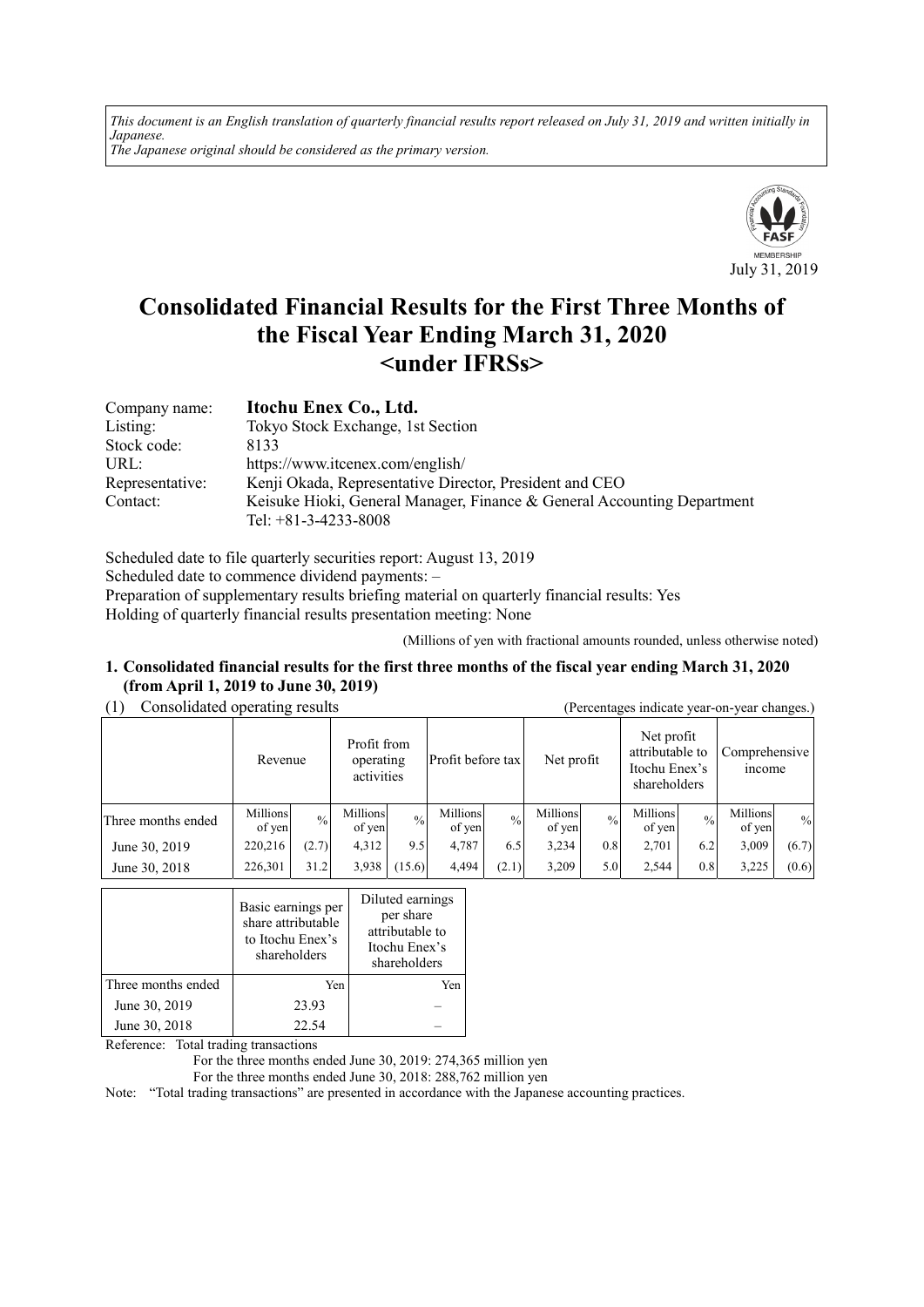*This document is an English translation of quarterly financial results report released on July 31, 2019 and written initially in Japanese. The Japanese original should be considered as the primary version.*



# **Consolidated Financial Results for the First Three Months of the Fiscal Year Ending March 31, 2020 <under IFRSs>**

| Company name:   | Itochu Enex Co., Ltd.                                                   |
|-----------------|-------------------------------------------------------------------------|
| Listing:        | Tokyo Stock Exchange, 1st Section                                       |
| Stock code:     | 8133                                                                    |
| URL:            | https://www.itcenex.com/english/                                        |
| Representative: | Kenji Okada, Representative Director, President and CEO                 |
| Contact:        | Keisuke Hioki, General Manager, Finance & General Accounting Department |
|                 | Tel: $+81-3-4233-8008$                                                  |

Scheduled date to file quarterly securities report: August 13, 2019 Scheduled date to commence dividend payments: – Preparation of supplementary results briefing material on quarterly financial results: Yes

Holding of quarterly financial results presentation meeting: None

(Millions of yen with fractional amounts rounded, unless otherwise noted)

#### **1. Consolidated financial results for the first three months of the fiscal year ending March 31, 2020 (from April 1, 2019 to June 30, 2019)**

(1) Consolidated operating results (Percentages indicate year-on-year changes.)

| .<br>$\mu$ creentages intricate year on year enanges. |                    |               |                                        |               |                    |               |                    |             |                                                                |               |                                |       |
|-------------------------------------------------------|--------------------|---------------|----------------------------------------|---------------|--------------------|---------------|--------------------|-------------|----------------------------------------------------------------|---------------|--------------------------------|-------|
|                                                       | Revenue            |               | Profit from<br>operating<br>activities |               | Profit before tax  |               | Net profit         |             | Net profit<br>attributable to<br>Itochu Enex's<br>shareholders |               | Comprehensive<br><i>n</i> come |       |
| Three months ended                                    | Millions<br>of yen | $\frac{0}{0}$ | Millions<br>of yen                     | $\frac{0}{0}$ | Millions<br>of yen | $\frac{0}{0}$ | Millions<br>of yen | $^{0}/_{0}$ | Millions<br>of yen                                             | $\frac{0}{0}$ | Millions<br>of yen             | $\%$  |
| June 30, 2019                                         | 220,216            | (2.7)         | 4,312                                  | 9.5           | 4.787              | 6.5           | 3,234              | 0.8         | 2,701                                                          | 6.2           | 3,009                          | (6.7) |
| June 30, 2018                                         | 226,301            | 31.2          | 3,938                                  | (15.6)        | 4,494              | (2.1)         | 3.209              | 5.0         | 2.544                                                          | 0.8           | 3,225                          | (0.6) |

|                    | Basic earnings per<br>share attributable<br>to Itochu Enex's<br>shareholders | Diluted earnings<br>per share<br>attributable to<br>Itochu Enex's<br>shareholders |
|--------------------|------------------------------------------------------------------------------|-----------------------------------------------------------------------------------|
| Three months ended | Yen                                                                          | Yen                                                                               |
| June 30, 2019      | 23.93                                                                        |                                                                                   |
| June 30, 2018      | 22.54                                                                        |                                                                                   |

Reference: Total trading transactions

For the three months ended June 30, 2019: 274,365 million yen

For the three months ended June 30, 2018: 288,762 million yen

Note: "Total trading transactions" are presented in accordance with the Japanese accounting practices.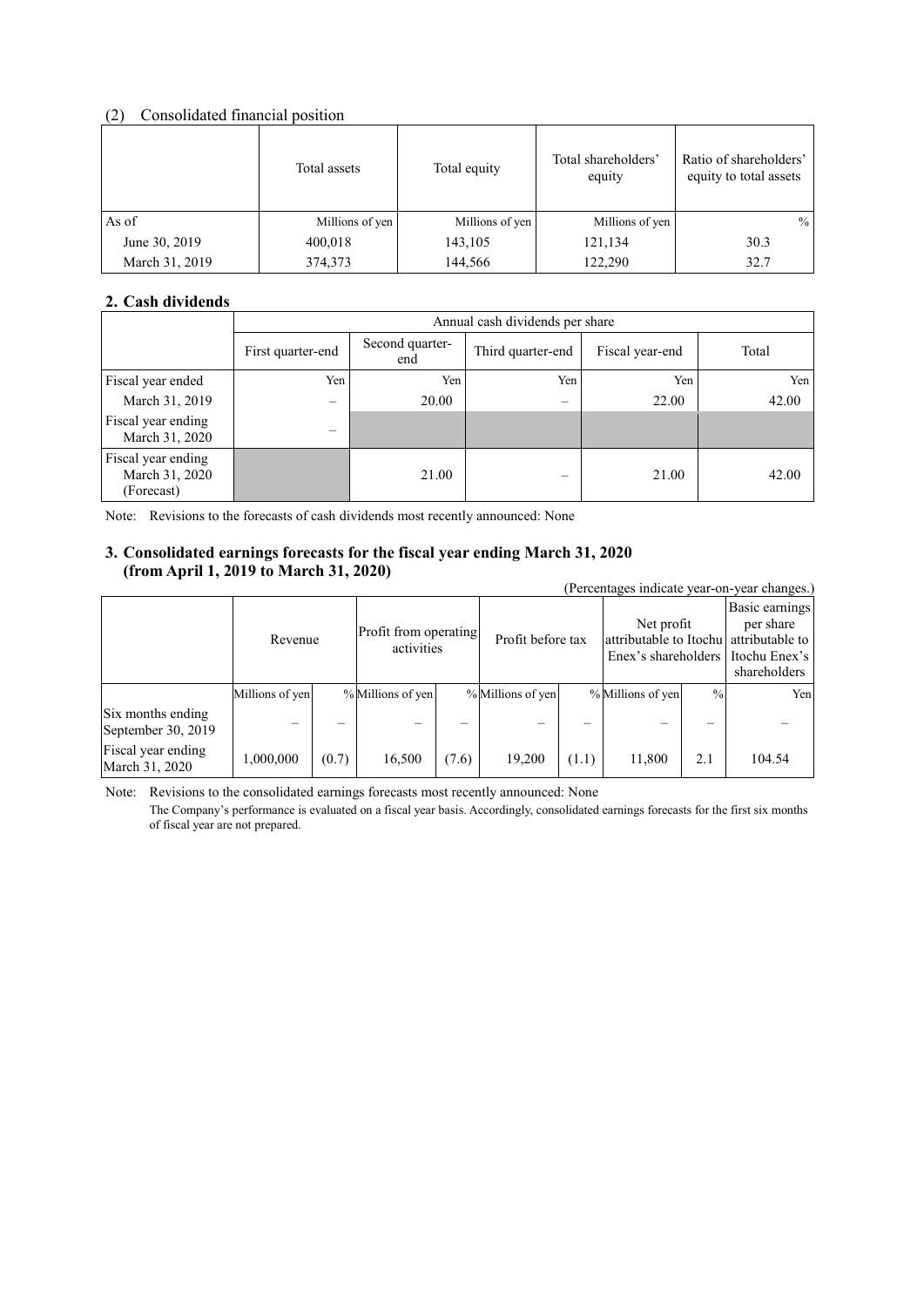### (2) Consolidated financial position

|                | Total assets    | Total equity    | Total shareholders'<br>equity | Ratio of shareholders'<br>equity to total assets |
|----------------|-----------------|-----------------|-------------------------------|--------------------------------------------------|
| As of          | Millions of yen | Millions of yen | Millions of yen               | $\frac{0}{0}$                                    |
| June 30, 2019  | 400,018         | 143,105         | 121,134                       | 30.3                                             |
| March 31, 2019 | 374,373         | 144,566         | 122,290                       | 32.7                                             |

## **2. Cash dividends**

|                                                    | Annual cash dividends per share |                        |                   |                 |       |  |  |
|----------------------------------------------------|---------------------------------|------------------------|-------------------|-----------------|-------|--|--|
|                                                    | First quarter-end               | Second quarter-<br>end | Third quarter-end | Fiscal year-end | Total |  |  |
| Fiscal year ended                                  | Yen                             | Yen                    | Yen               | Yen             | Yen   |  |  |
| March 31, 2019                                     | —                               | 20.00                  | $\equiv$          | 22.00           | 42.00 |  |  |
| Fiscal year ending<br>March 31, 2020               | –                               |                        |                   |                 |       |  |  |
| Fiscal year ending<br>March 31, 2020<br>(Forecast) |                                 | 21.00                  |                   | 21.00           | 42.00 |  |  |

Note: Revisions to the forecasts of cash dividends most recently announced: None

## **3. Consolidated earnings forecasts for the fiscal year ending March 31, 2020 (from April 1, 2019 to March 31, 2020)**

| $(110 \text{m} \, \text{A} \text{p} \text{m} \, \text{I}, 2012 \text{w} \, \text{m} \text{a} \text{cm} \, \text{J}, 2020)$<br>(Percentages indicate year-on-year changes.) |                 |       |                                     |       |                   |       |                                                                                             |               |                                             |
|----------------------------------------------------------------------------------------------------------------------------------------------------------------------------|-----------------|-------|-------------------------------------|-------|-------------------|-------|---------------------------------------------------------------------------------------------|---------------|---------------------------------------------|
|                                                                                                                                                                            | Revenue         |       | Profit from operating<br>activities |       | Profit before tax |       | Net profit<br>attributable to Itochu attributable to<br>Enex's shareholders I Itochu Enex's |               | Basic earnings<br>per share<br>shareholders |
|                                                                                                                                                                            | Millions of yen |       | % Millions of yen                   |       | % Millions of yen |       | % Millions of yen                                                                           | $\frac{0}{0}$ | Yen                                         |
| Six months ending<br>September 30, 2019                                                                                                                                    |                 |       |                                     |       |                   |       |                                                                                             |               |                                             |
| Fiscal year ending<br>March 31, 2020                                                                                                                                       | 1,000,000       | (0.7) | 16,500                              | (7.6) | 19,200            | (1.1) | 11,800                                                                                      | 2.1           | 104.54                                      |

Note: Revisions to the consolidated earnings forecasts most recently announced: None

The Company's performance is evaluated on a fiscal year basis. Accordingly, consolidated earnings forecasts for the first six months of fiscal year are not prepared.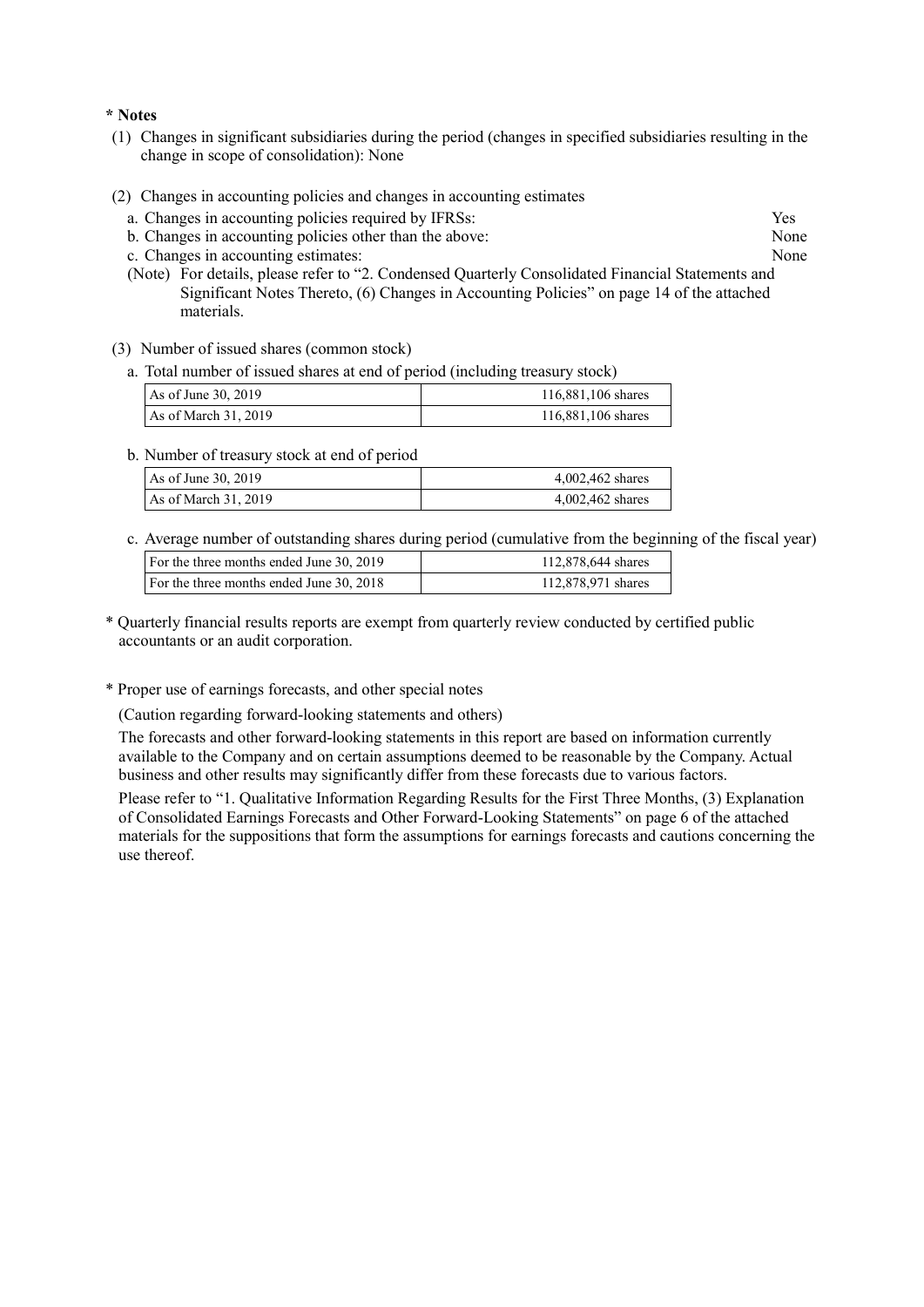#### **\* Notes**

- (1) Changes in significant subsidiaries during the period (changes in specified subsidiaries resulting in the change in scope of consolidation): None
- (2) Changes in accounting policies and changes in accounting estimates
	- a. Changes in accounting policies required by IFRSs: Yes
	- b. Changes in accounting policies other than the above: None
	- c. Changes in accounting estimates: None
	- (Note) For details, please refer to "2. Condensed Quarterly Consolidated Financial Statements and Significant Notes Thereto, (6) Changes in Accounting Policies" on page 14 of the attached materials.
- (3) Number of issued shares (common stock)
	- a. Total number of issued shares at end of period (including treasury stock)

| As of June 30, 2019  | 116,881,106 shares |
|----------------------|--------------------|
| As of March 31, 2019 | 116,881,106 shares |

b. Number of treasury stock at end of period

| As of June 30, 2019  | 4,002,462 shares |
|----------------------|------------------|
| As of March 31, 2019 | 4,002,462 shares |

c. Average number of outstanding shares during period (cumulative from the beginning of the fiscal year)

| For the three months ended June 30, 2019 | 112,878,644 shares |
|------------------------------------------|--------------------|
| For the three months ended June 30, 2018 | 112,878,971 shares |
|                                          |                    |

- \* Quarterly financial results reports are exempt from quarterly review conducted by certified public accountants or an audit corporation.
- \* Proper use of earnings forecasts, and other special notes

(Caution regarding forward-looking statements and others)

The forecasts and other forward-looking statements in this report are based on information currently available to the Company and on certain assumptions deemed to be reasonable by the Company. Actual business and other results may significantly differ from these forecasts due to various factors.

Please refer to "1. Qualitative Information Regarding Results for the First Three Months, (3) Explanation of Consolidated Earnings Forecasts and Other Forward-Looking Statements" on page 6 of the attached materials for the suppositions that form the assumptions for earnings forecasts and cautions concerning the use thereof.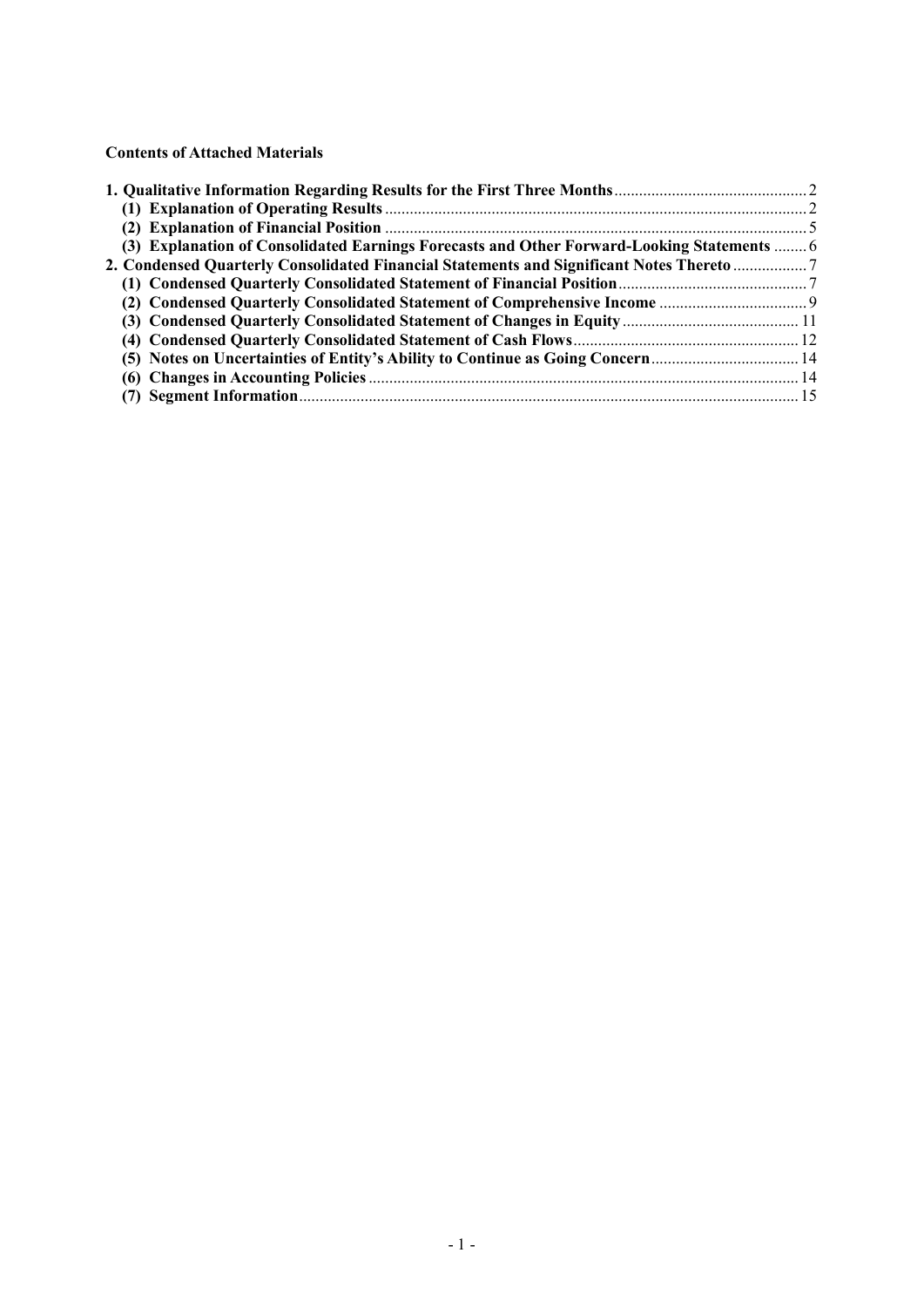**Contents of Attached Materials** 

| (3) Explanation of Consolidated Earnings Forecasts and Other Forward-Looking Statements  6 |  |
|--------------------------------------------------------------------------------------------|--|
| 2. Condensed Quarterly Consolidated Financial Statements and Significant Notes Thereto  7  |  |
|                                                                                            |  |
|                                                                                            |  |
|                                                                                            |  |
|                                                                                            |  |
| (5) Notes on Uncertainties of Entity's Ability to Continue as Going Concern 14             |  |
|                                                                                            |  |
|                                                                                            |  |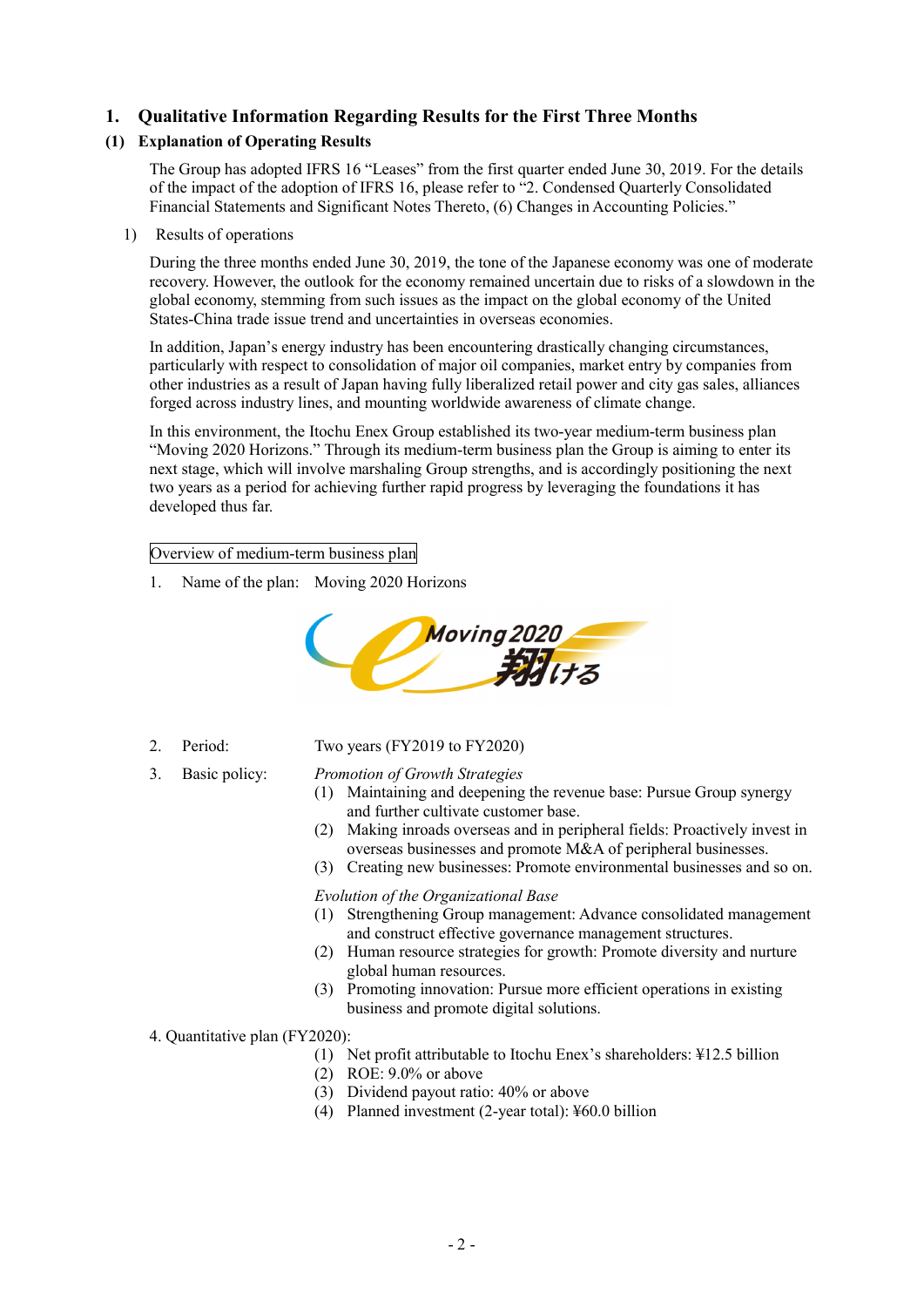## **1. Qualitative Information Regarding Results for the First Three Months**

## **(1) Explanation of Operating Results**

The Group has adopted IFRS 16 "Leases" from the first quarter ended June 30, 2019. For the details of the impact of the adoption of IFRS 16, please refer to "2. Condensed Quarterly Consolidated Financial Statements and Significant Notes Thereto, (6) Changes in Accounting Policies."

#### 1) Results of operations

During the three months ended June 30, 2019, the tone of the Japanese economy was one of moderate recovery. However, the outlook for the economy remained uncertain due to risks of a slowdown in the global economy, stemming from such issues as the impact on the global economy of the United States-China trade issue trend and uncertainties in overseas economies.

In addition, Japan's energy industry has been encountering drastically changing circumstances, particularly with respect to consolidation of major oil companies, market entry by companies from other industries as a result of Japan having fully liberalized retail power and city gas sales, alliances forged across industry lines, and mounting worldwide awareness of climate change.

In this environment, the Itochu Enex Group established its two-year medium-term business plan "Moving 2020 Horizons." Through its medium-term business plan the Group is aiming to enter its next stage, which will involve marshaling Group strengths, and is accordingly positioning the next two years as a period for achieving further rapid progress by leveraging the foundations it has developed thus far.

#### Overview of medium-term business plan

1. Name of the plan: Moving 2020 Horizons



#### 2. Period: Two years (FY2019 to FY2020)

#### 3. Basic policy: *Promotion of Growth Strategies*

- (1) Maintaining and deepening the revenue base: Pursue Group synergy and further cultivate customer base.
- (2) Making inroads overseas and in peripheral fields: Proactively invest in overseas businesses and promote M&A of peripheral businesses.
- (3) Creating new businesses: Promote environmental businesses and so on.

#### *Evolution of the Organizational Base*

- (1) Strengthening Group management: Advance consolidated management and construct effective governance management structures.
- (2) Human resource strategies for growth: Promote diversity and nurture global human resources.
- (3) Promoting innovation: Pursue more efficient operations in existing business and promote digital solutions.
- 4. Quantitative plan (FY2020):
	- (1) Net profit attributable to Itochu Enex's shareholders: ¥12.5 billion
	- (2) ROE: 9.0% or above
	- (3) Dividend payout ratio: 40% or above
	- (4) Planned investment (2-year total): ¥60.0 billion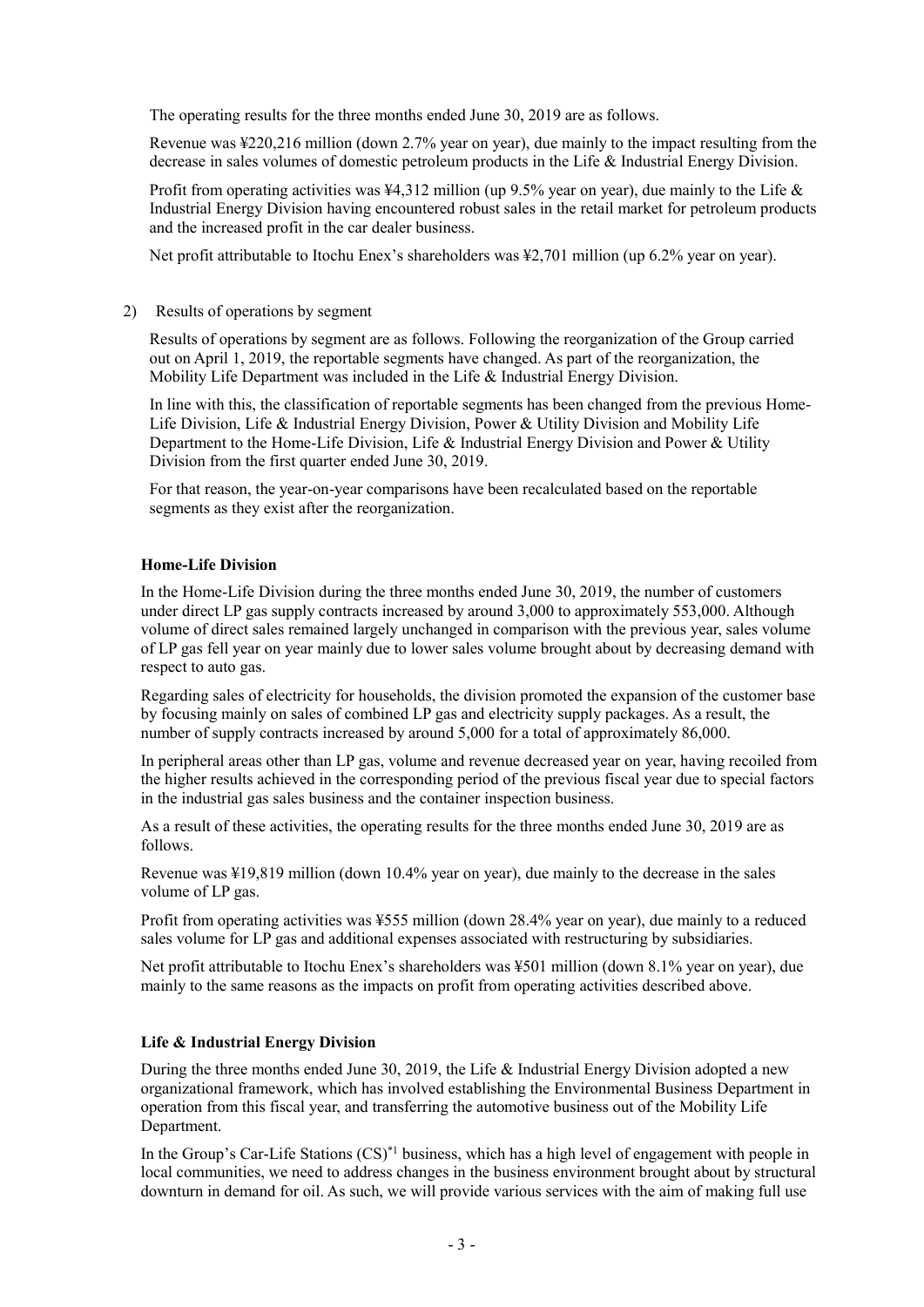The operating results for the three months ended June 30, 2019 are as follows.

Revenue was ¥220,216 million (down 2.7% year on year), due mainly to the impact resulting from the decrease in sales volumes of domestic petroleum products in the Life & Industrial Energy Division.

Profit from operating activities was ¥4,312 million (up 9.5% year on year), due mainly to the Life & Industrial Energy Division having encountered robust sales in the retail market for petroleum products and the increased profit in the car dealer business.

Net profit attributable to Itochu Enex's shareholders was  $\frac{1}{2}$ ,701 million (up 6.2% year on year).

#### 2) Results of operations by segment

Results of operations by segment are as follows. Following the reorganization of the Group carried out on April 1, 2019, the reportable segments have changed. As part of the reorganization, the Mobility Life Department was included in the Life & Industrial Energy Division.

In line with this, the classification of reportable segments has been changed from the previous Home-Life Division, Life & Industrial Energy Division, Power & Utility Division and Mobility Life Department to the Home-Life Division, Life & Industrial Energy Division and Power & Utility Division from the first quarter ended June 30, 2019.

For that reason, the year-on-year comparisons have been recalculated based on the reportable segments as they exist after the reorganization.

#### **Home-Life Division**

In the Home-Life Division during the three months ended June 30, 2019, the number of customers under direct LP gas supply contracts increased by around 3,000 to approximately 553,000. Although volume of direct sales remained largely unchanged in comparison with the previous year, sales volume of LP gas fell year on year mainly due to lower sales volume brought about by decreasing demand with respect to auto gas.

Regarding sales of electricity for households, the division promoted the expansion of the customer base by focusing mainly on sales of combined LP gas and electricity supply packages. As a result, the number of supply contracts increased by around 5,000 for a total of approximately 86,000.

In peripheral areas other than LP gas, volume and revenue decreased year on year, having recoiled from the higher results achieved in the corresponding period of the previous fiscal year due to special factors in the industrial gas sales business and the container inspection business.

As a result of these activities, the operating results for the three months ended June 30, 2019 are as follows.

Revenue was ¥19,819 million (down 10.4% year on year), due mainly to the decrease in the sales volume of LP gas.

Profit from operating activities was ¥555 million (down 28.4% year on year), due mainly to a reduced sales volume for LP gas and additional expenses associated with restructuring by subsidiaries.

Net profit attributable to Itochu Enex's shareholders was ¥501 million (down 8.1% year on year), due mainly to the same reasons as the impacts on profit from operating activities described above.

#### **Life & Industrial Energy Division**

During the three months ended June 30, 2019, the Life & Industrial Energy Division adopted a new organizational framework, which has involved establishing the Environmental Business Department in operation from this fiscal year, and transferring the automotive business out of the Mobility Life Department.

In the Group's Car-Life Stations  $(CS)^*$ <sup>1</sup> business, which has a high level of engagement with people in local communities, we need to address changes in the business environment brought about by structural downturn in demand for oil. As such, we will provide various services with the aim of making full use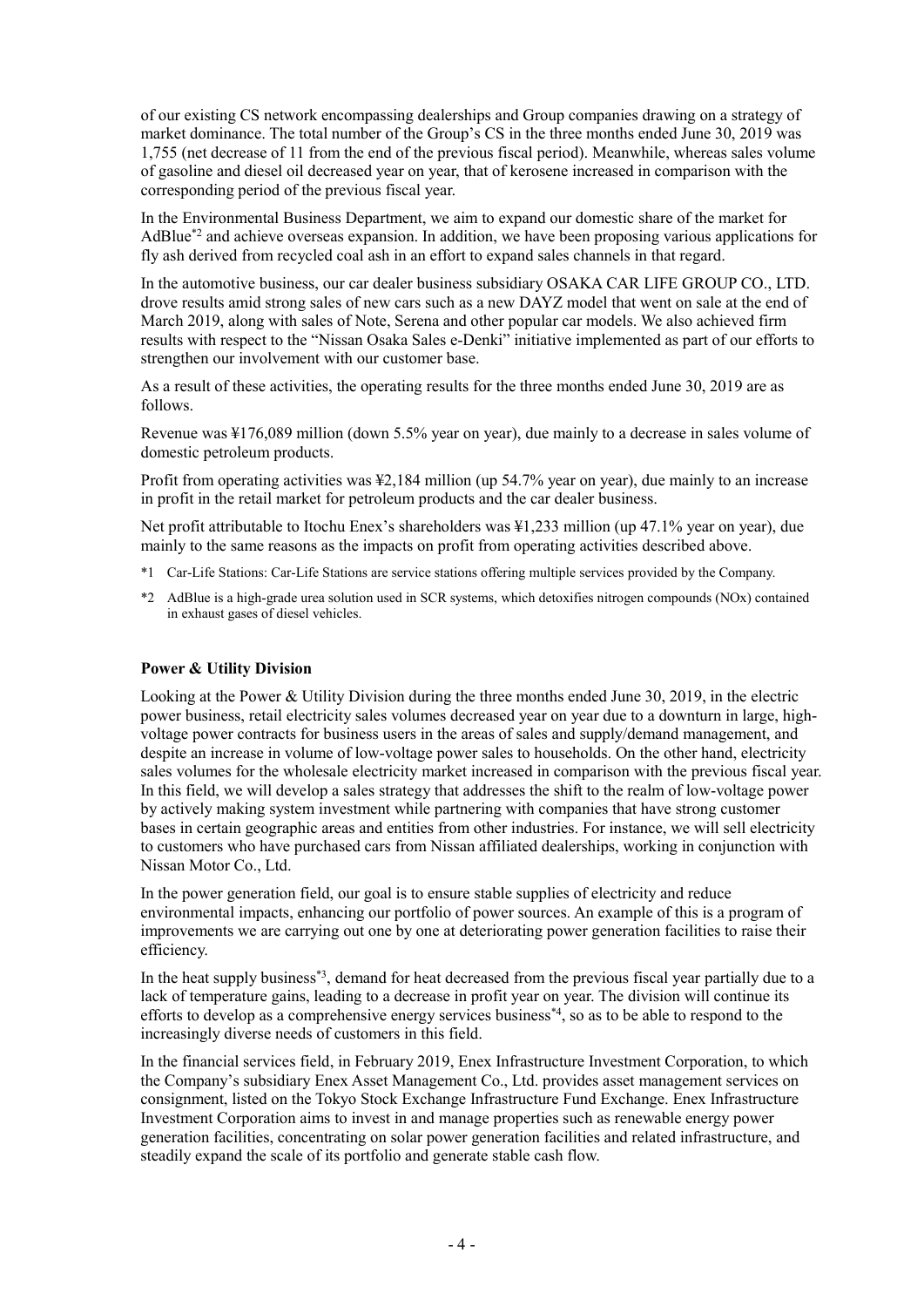of our existing CS network encompassing dealerships and Group companies drawing on a strategy of market dominance. The total number of the Group's CS in the three months ended June 30, 2019 was 1,755 (net decrease of 11 from the end of the previous fiscal period). Meanwhile, whereas sales volume of gasoline and diesel oil decreased year on year, that of kerosene increased in comparison with the corresponding period of the previous fiscal year.

In the Environmental Business Department, we aim to expand our domestic share of the market for AdBlue<sup>\*2</sup> and achieve overseas expansion. In addition, we have been proposing various applications for fly ash derived from recycled coal ash in an effort to expand sales channels in that regard.

In the automotive business, our car dealer business subsidiary OSAKA CAR LIFE GROUP CO., LTD. drove results amid strong sales of new cars such as a new DAYZ model that went on sale at the end of March 2019, along with sales of Note, Serena and other popular car models. We also achieved firm results with respect to the "Nissan Osaka Sales e-Denki" initiative implemented as part of our efforts to strengthen our involvement with our customer base.

As a result of these activities, the operating results for the three months ended June 30, 2019 are as follows.

Revenue was ¥176,089 million (down 5.5% year on year), due mainly to a decrease in sales volume of domestic petroleum products.

Profit from operating activities was ¥2,184 million (up 54.7% year on year), due mainly to an increase in profit in the retail market for petroleum products and the car dealer business.

Net profit attributable to Itochu Enex's shareholders was ¥1,233 million (up 47.1% year on year), due mainly to the same reasons as the impacts on profit from operating activities described above.

- \*1 Car-Life Stations: Car-Life Stations are service stations offering multiple services provided by the Company.
- \*2 AdBlue is a high-grade urea solution used in SCR systems, which detoxifies nitrogen compounds (NOx) contained in exhaust gases of diesel vehicles.

### **Power & Utility Division**

Looking at the Power & Utility Division during the three months ended June 30, 2019, in the electric power business, retail electricity sales volumes decreased year on year due to a downturn in large, highvoltage power contracts for business users in the areas of sales and supply/demand management, and despite an increase in volume of low-voltage power sales to households. On the other hand, electricity sales volumes for the wholesale electricity market increased in comparison with the previous fiscal year. In this field, we will develop a sales strategy that addresses the shift to the realm of low-voltage power by actively making system investment while partnering with companies that have strong customer bases in certain geographic areas and entities from other industries. For instance, we will sell electricity to customers who have purchased cars from Nissan affiliated dealerships, working in conjunction with Nissan Motor Co., Ltd.

In the power generation field, our goal is to ensure stable supplies of electricity and reduce environmental impacts, enhancing our portfolio of power sources. An example of this is a program of improvements we are carrying out one by one at deteriorating power generation facilities to raise their efficiency.

In the heat supply business\*3, demand for heat decreased from the previous fiscal year partially due to a lack of temperature gains, leading to a decrease in profit year on year. The division will continue its efforts to develop as a comprehensive energy services business\*4, so as to be able to respond to the increasingly diverse needs of customers in this field.

In the financial services field, in February 2019, Enex Infrastructure Investment Corporation, to which the Company's subsidiary Enex Asset Management Co., Ltd. provides asset management services on consignment, listed on the Tokyo Stock Exchange Infrastructure Fund Exchange. Enex Infrastructure Investment Corporation aims to invest in and manage properties such as renewable energy power generation facilities, concentrating on solar power generation facilities and related infrastructure, and steadily expand the scale of its portfolio and generate stable cash flow.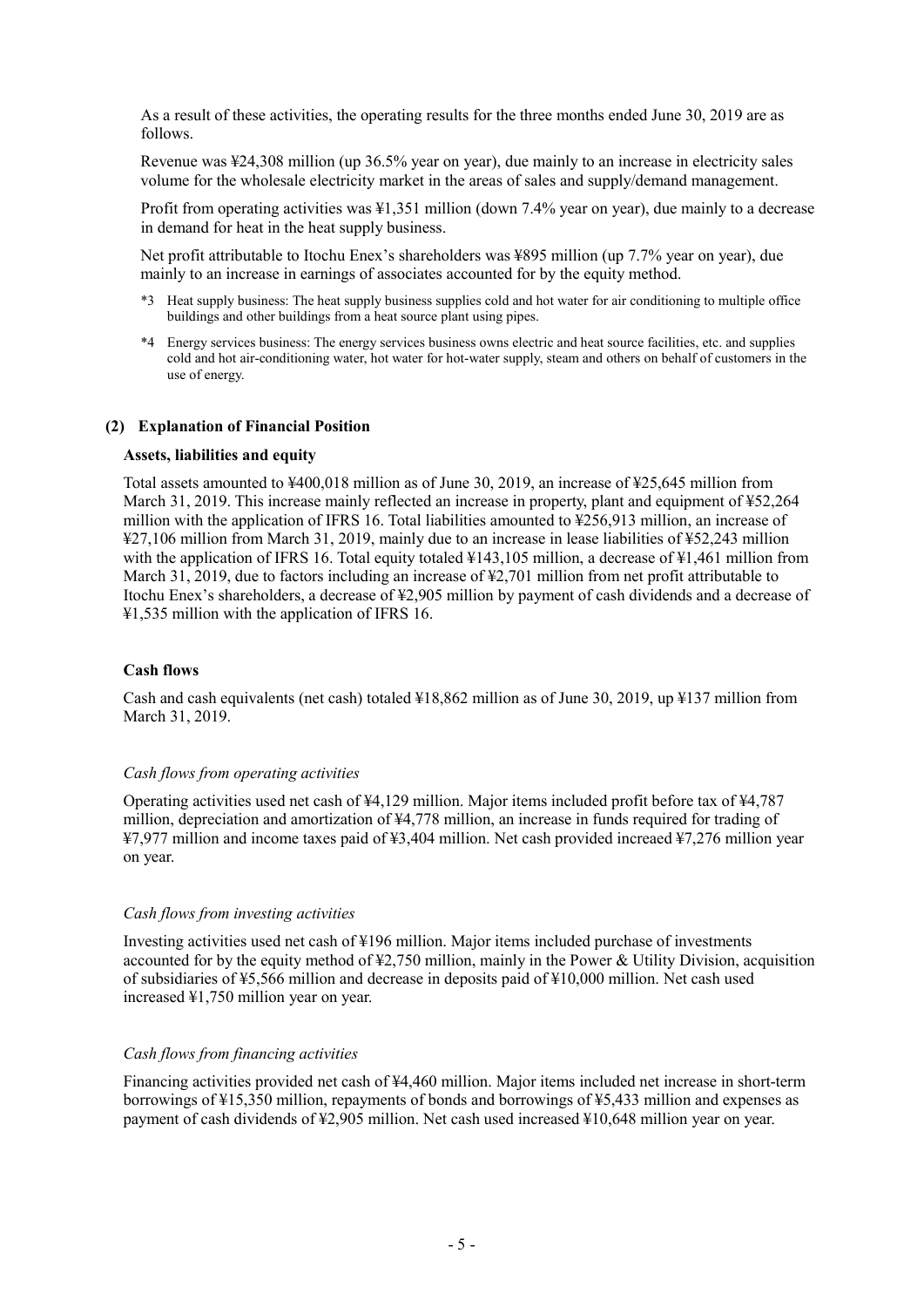As a result of these activities, the operating results for the three months ended June 30, 2019 are as follows.

Revenue was ¥24,308 million (up 36.5% year on year), due mainly to an increase in electricity sales volume for the wholesale electricity market in the areas of sales and supply/demand management.

Profit from operating activities was ¥1,351 million (down 7.4% year on year), due mainly to a decrease in demand for heat in the heat supply business.

Net profit attributable to Itochu Enex's shareholders was ¥895 million (up 7.7% year on year), due mainly to an increase in earnings of associates accounted for by the equity method.

- \*3 Heat supply business: The heat supply business supplies cold and hot water for air conditioning to multiple office buildings and other buildings from a heat source plant using pipes.
- \*4 Energy services business: The energy services business owns electric and heat source facilities, etc. and supplies cold and hot air-conditioning water, hot water for hot-water supply, steam and others on behalf of customers in the use of energy.

#### **(2) Explanation of Financial Position**

#### **Assets, liabilities and equity**

Total assets amounted to ¥400,018 million as of June 30, 2019, an increase of ¥25,645 million from March 31, 2019. This increase mainly reflected an increase in property, plant and equipment of ¥52,264 million with the application of IFRS 16. Total liabilities amounted to ¥256,913 million, an increase of ¥27,106 million from March 31, 2019, mainly due to an increase in lease liabilities of ¥52,243 million with the application of IFRS 16. Total equity totaled  $\frac{1}{4}143,105$  million, a decrease of  $\frac{1}{4}1,461$  million from March 31, 2019, due to factors including an increase of \£2,701 million from net profit attributable to Itochu Enex's shareholders, a decrease of ¥2,905 million by payment of cash dividends and a decrease of ¥1,535 million with the application of IFRS 16.

#### **Cash flows**

Cash and cash equivalents (net cash) totaled ¥18,862 million as of June 30, 2019, up ¥137 million from March 31, 2019.

#### *Cash flows from operating activities*

Operating activities used net cash of ¥4,129 million. Major items included profit before tax of ¥4,787 million, depreciation and amortization of ¥4,778 million, an increase in funds required for trading of ¥7,977 million and income taxes paid of ¥3,404 million. Net cash provided increaed ¥7,276 million year on year.

#### *Cash flows from investing activities*

Investing activities used net cash of ¥196 million. Major items included purchase of investments accounted for by the equity method of  $\frac{1}{2}$ ,750 million, mainly in the Power & Utility Division, acquisition of subsidiaries of ¥5,566 million and decrease in deposits paid of ¥10,000 million. Net cash used increased ¥1,750 million year on year.

#### *Cash flows from financing activities*

Financing activities provided net cash of ¥4,460 million. Major items included net increase in short-term borrowings of ¥15,350 million, repayments of bonds and borrowings of ¥5,433 million and expenses as payment of cash dividends of ¥2,905 million. Net cash used increased ¥10,648 million year on year.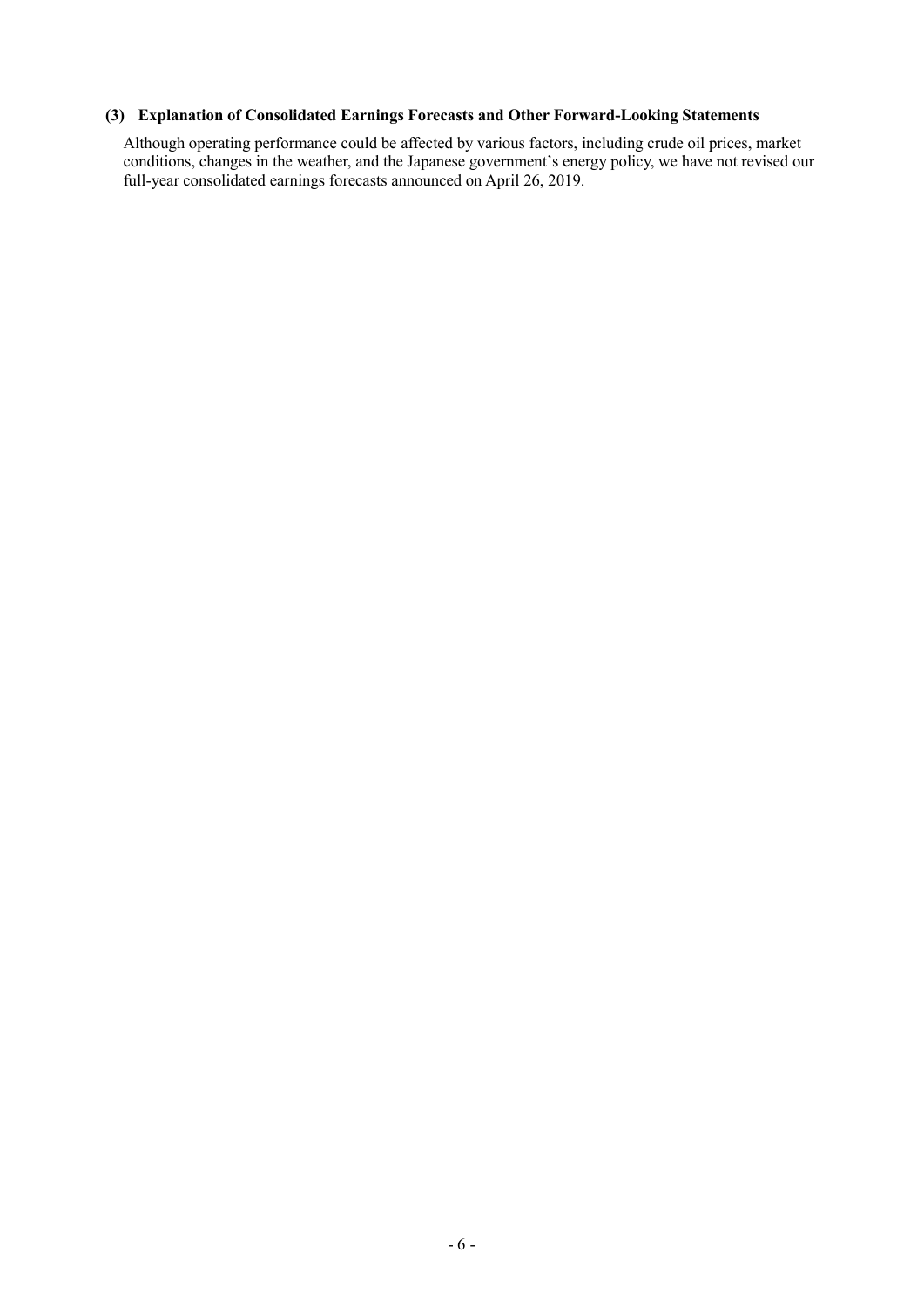## **(3) Explanation of Consolidated Earnings Forecasts and Other Forward-Looking Statements**

Although operating performance could be affected by various factors, including crude oil prices, market conditions, changes in the weather, and the Japanese government's energy policy, we have not revised our full-year consolidated earnings forecasts announced on April 26, 2019.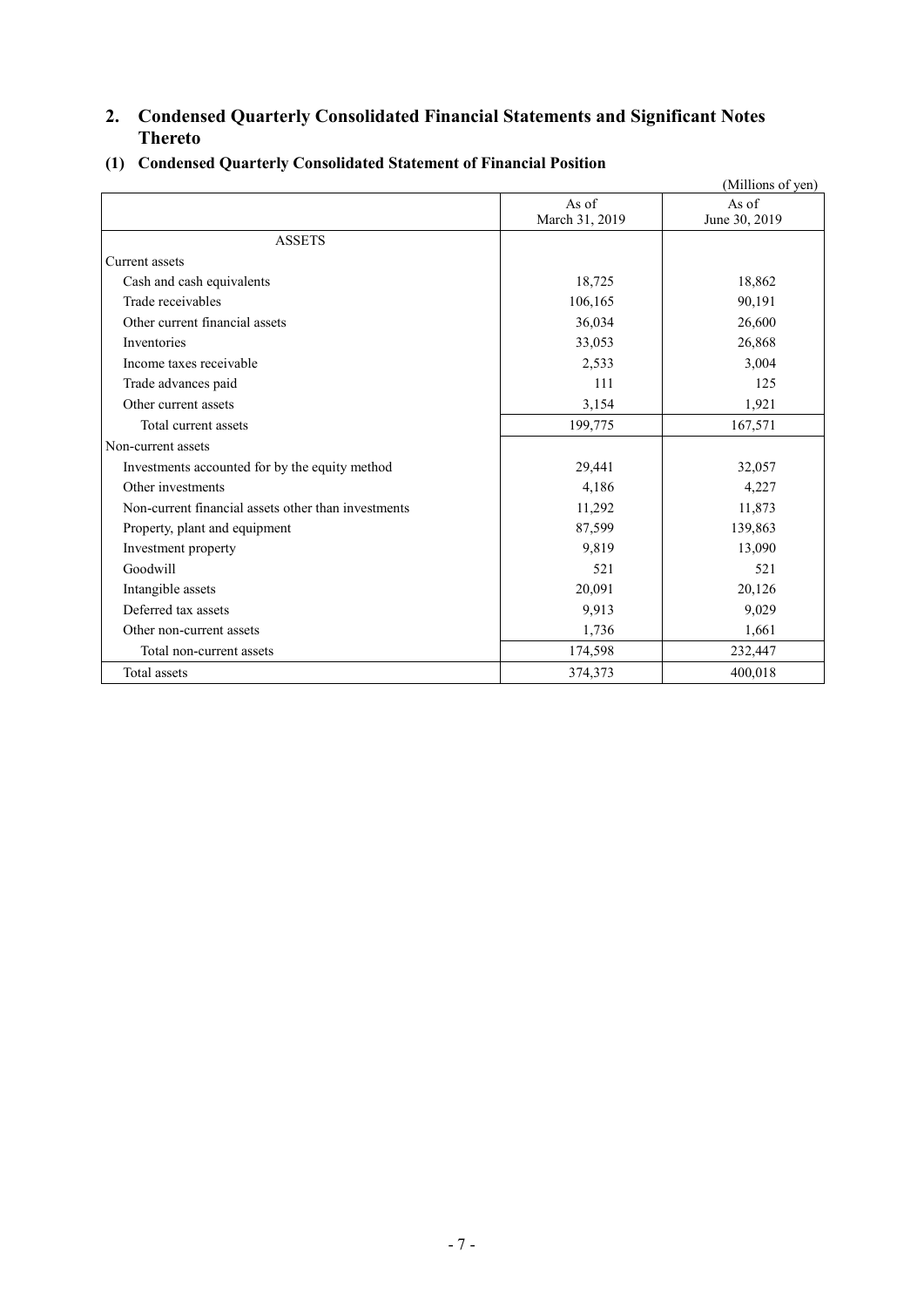## **2. Condensed Quarterly Consolidated Financial Statements and Significant Notes Thereto**

|                                                     |                         | (Millions of yen)      |
|-----------------------------------------------------|-------------------------|------------------------|
|                                                     | As of<br>March 31, 2019 | As of<br>June 30, 2019 |
| <b>ASSETS</b>                                       |                         |                        |
| Current assets                                      |                         |                        |
| Cash and cash equivalents                           | 18,725                  | 18,862                 |
| Trade receivables                                   | 106,165                 | 90,191                 |
| Other current financial assets                      | 36,034                  | 26,600                 |
| Inventories                                         | 33,053                  | 26,868                 |
| Income taxes receivable                             | 2,533                   | 3,004                  |
| Trade advances paid                                 | 111                     | 125                    |
| Other current assets                                | 3,154                   | 1,921                  |
| Total current assets                                | 199,775                 | 167,571                |
| Non-current assets                                  |                         |                        |
| Investments accounted for by the equity method      | 29,441                  | 32,057                 |
| Other investments                                   | 4,186                   | 4,227                  |
| Non-current financial assets other than investments | 11,292                  | 11,873                 |
| Property, plant and equipment                       | 87,599                  | 139,863                |
| Investment property                                 | 9,819                   | 13,090                 |
| Goodwill                                            | 521                     | 521                    |
| Intangible assets                                   | 20,091                  | 20,126                 |
| Deferred tax assets                                 | 9,913                   | 9,029                  |
| Other non-current assets                            | 1,736                   | 1,661                  |
| Total non-current assets                            | 174,598                 | 232,447                |
| Total assets                                        | 374,373                 | 400,018                |

## **(1) Condensed Quarterly Consolidated Statement of Financial Position**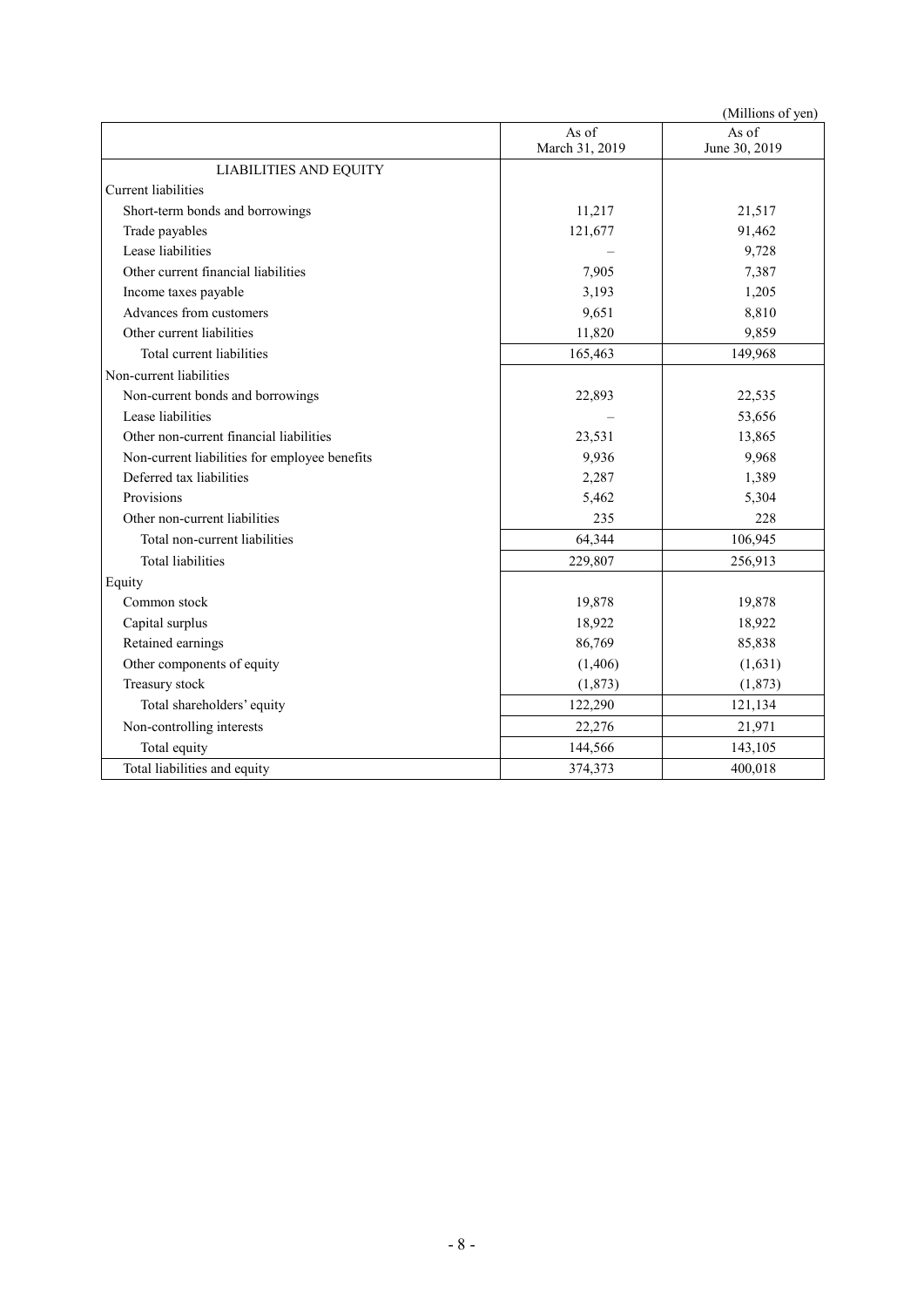|                                               |                         | (Millions of yen)      |
|-----------------------------------------------|-------------------------|------------------------|
|                                               | As of<br>March 31, 2019 | As of<br>June 30, 2019 |
| <b>LIABILITIES AND EQUITY</b>                 |                         |                        |
| <b>Current</b> liabilities                    |                         |                        |
| Short-term bonds and borrowings               | 11,217                  | 21,517                 |
| Trade payables                                | 121,677                 | 91,462                 |
| Lease liabilities                             |                         | 9,728                  |
| Other current financial liabilities           | 7,905                   | 7,387                  |
| Income taxes payable                          | 3,193                   | 1,205                  |
| Advances from customers                       | 9,651                   | 8,810                  |
| Other current liabilities                     | 11,820                  | 9,859                  |
| Total current liabilities                     | 165,463                 | 149,968                |
| Non-current liabilities                       |                         |                        |
| Non-current bonds and borrowings              | 22,893                  | 22,535                 |
| Lease liabilities                             |                         | 53,656                 |
| Other non-current financial liabilities       | 23,531                  | 13,865                 |
| Non-current liabilities for employee benefits | 9,936                   | 9,968                  |
| Deferred tax liabilities                      | 2,287                   | 1,389                  |
| Provisions                                    | 5,462                   | 5,304                  |
| Other non-current liabilities                 | 235                     | 228                    |
| Total non-current liabilities                 | 64,344                  | 106,945                |
| <b>Total liabilities</b>                      | 229,807                 | 256,913                |
| Equity                                        |                         |                        |
| Common stock                                  | 19,878                  | 19,878                 |
| Capital surplus                               | 18,922                  | 18,922                 |
| Retained earnings                             | 86,769                  | 85,838                 |
| Other components of equity                    | (1,406)                 | (1,631)                |
| Treasury stock                                | (1, 873)                | (1,873)                |
| Total shareholders' equity                    | 122,290                 | 121,134                |
| Non-controlling interests                     | 22,276                  | 21,971                 |
| Total equity                                  | 144,566                 | 143,105                |
| Total liabilities and equity                  | 374,373                 | 400,018                |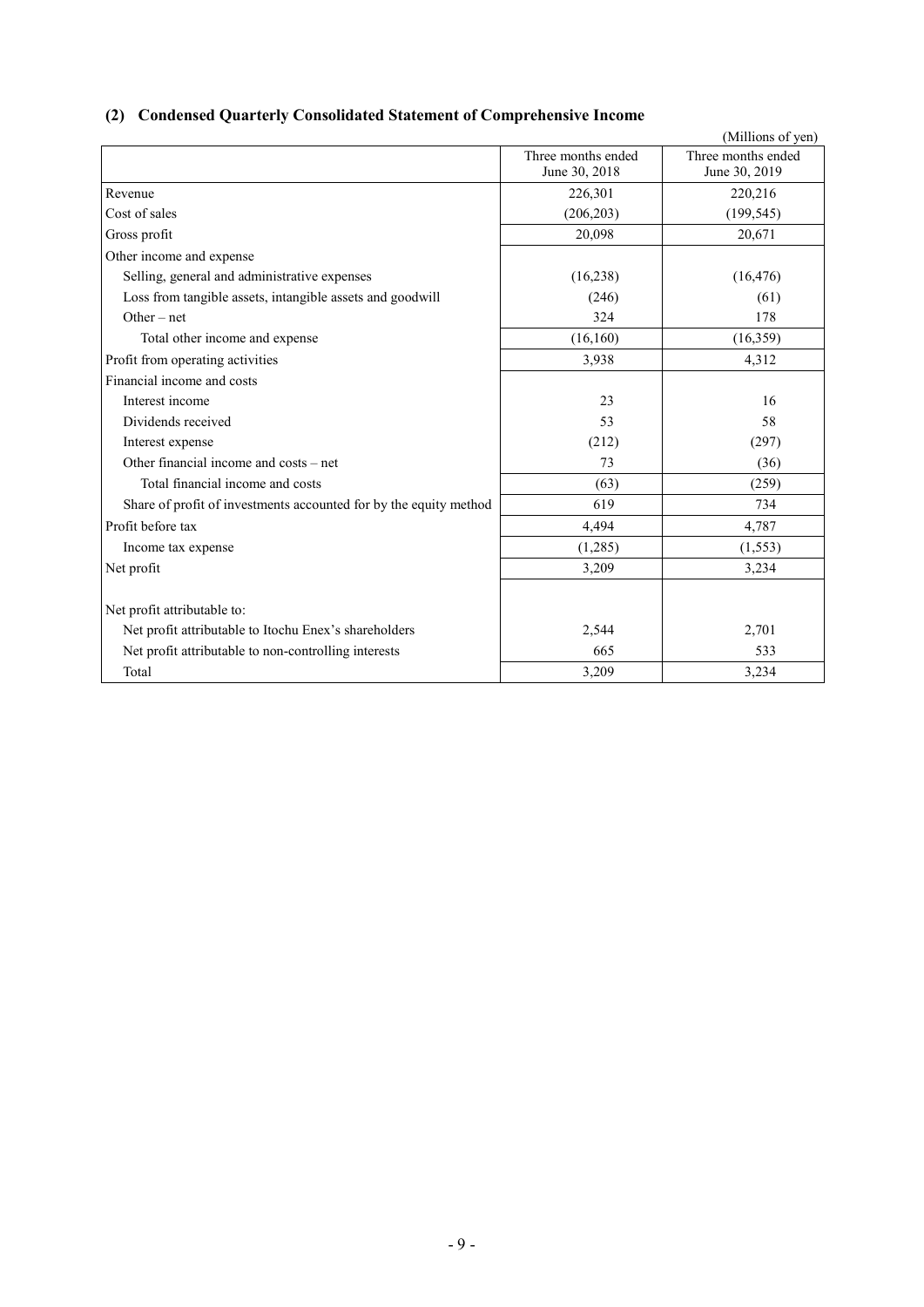## **(2) Condensed Quarterly Consolidated Statement of Comprehensive Income**

|                                                                   |                                     | (Millions of yen)                   |
|-------------------------------------------------------------------|-------------------------------------|-------------------------------------|
|                                                                   | Three months ended<br>June 30, 2018 | Three months ended<br>June 30, 2019 |
| Revenue                                                           | 226,301                             | 220,216                             |
| Cost of sales                                                     | (206, 203)                          | (199, 545)                          |
| Gross profit                                                      | 20,098                              | 20,671                              |
| Other income and expense                                          |                                     |                                     |
| Selling, general and administrative expenses                      | (16,238)                            | (16, 476)                           |
| Loss from tangible assets, intangible assets and goodwill         | (246)                               | (61)                                |
| $Other-net$                                                       | 324                                 | 178                                 |
| Total other income and expense                                    | (16,160)                            | (16,359)                            |
| Profit from operating activities                                  | 3,938                               | 4,312                               |
| Financial income and costs                                        |                                     |                                     |
| Interest income                                                   | 23                                  | 16                                  |
| Dividends received                                                | 53                                  | 58                                  |
| Interest expense                                                  | (212)                               | (297)                               |
| Other financial income and costs – net                            | 73                                  | (36)                                |
| Total financial income and costs                                  | (63)                                | (259)                               |
| Share of profit of investments accounted for by the equity method | 619                                 | 734                                 |
| Profit before tax                                                 | 4,494                               | 4,787                               |
| Income tax expense                                                | (1,285)                             | (1, 553)                            |
| Net profit                                                        | 3,209                               | 3,234                               |
| Net profit attributable to:                                       |                                     |                                     |
| Net profit attributable to Itochu Enex's shareholders             | 2,544                               | 2,701                               |
| Net profit attributable to non-controlling interests              | 665                                 | 533                                 |
| Total                                                             | 3,209                               | 3,234                               |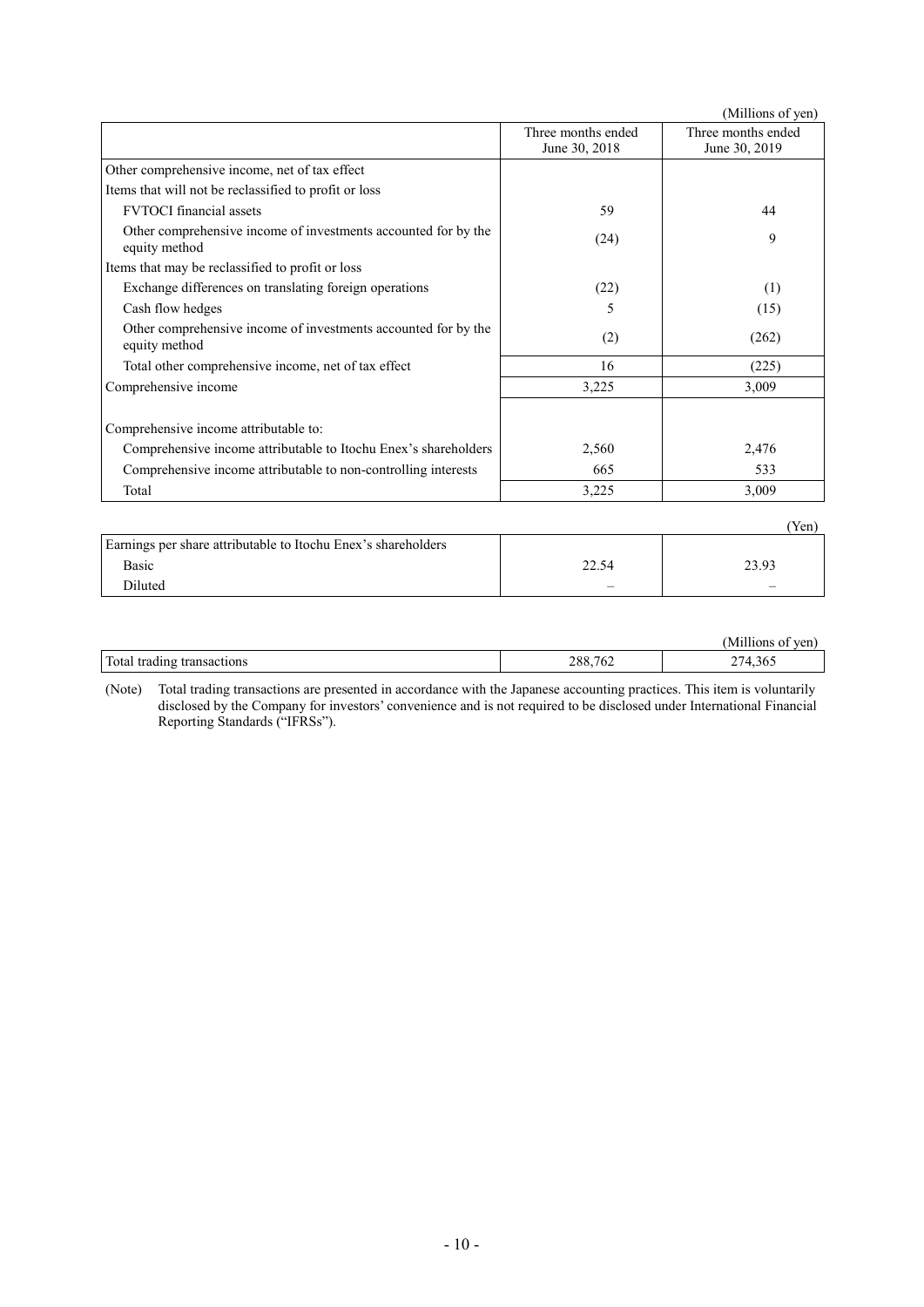|                                                                                 |                                     | (Millions of yen)                   |
|---------------------------------------------------------------------------------|-------------------------------------|-------------------------------------|
|                                                                                 | Three months ended<br>June 30, 2018 | Three months ended<br>June 30, 2019 |
| Other comprehensive income, net of tax effect                                   |                                     |                                     |
| Items that will not be reclassified to profit or loss                           |                                     |                                     |
| <b>FVTOCI</b> financial assets                                                  | 59                                  | 44                                  |
| Other comprehensive income of investments accounted for by the<br>equity method | (24)                                | 9                                   |
| Items that may be reclassified to profit or loss                                |                                     |                                     |
| Exchange differences on translating foreign operations                          | (22)                                | (1)                                 |
| Cash flow hedges                                                                | 5                                   | (15)                                |
| Other comprehensive income of investments accounted for by the<br>equity method | (2)                                 | (262)                               |
| Total other comprehensive income, net of tax effect                             | 16                                  | (225)                               |
| Comprehensive income                                                            | 3,225                               | 3,009                               |
| Comprehensive income attributable to:                                           |                                     |                                     |
| Comprehensive income attributable to Itochu Enex's shareholders                 | 2,560                               | 2,476                               |
| Comprehensive income attributable to non-controlling interests                  | 665                                 | 533                                 |
| Total                                                                           | 3,225                               | 3,009                               |
|                                                                                 |                                     | (Yen)                               |
| Earnings per share attributable to Itochu Enex's shareholders                   |                                     |                                     |

| Earnings per share attributable to Itochu Enex's shareholders |       |       |
|---------------------------------------------------------------|-------|-------|
| Basic                                                         | 22.54 | 23.93 |
| <b>Diluted</b>                                                |       |       |
|                                                               |       |       |

|                                  |         | .<br>Mil<br>ven.<br>10ns |
|----------------------------------|---------|--------------------------|
| Total<br>transactions<br>tradıng | 288,762 | 14<br>4,360              |

(Note) Total trading transactions are presented in accordance with the Japanese accounting practices. This item is voluntarily disclosed by the Company for investors' convenience and is not required to be disclosed under International Financial Reporting Standards ("IFRSs").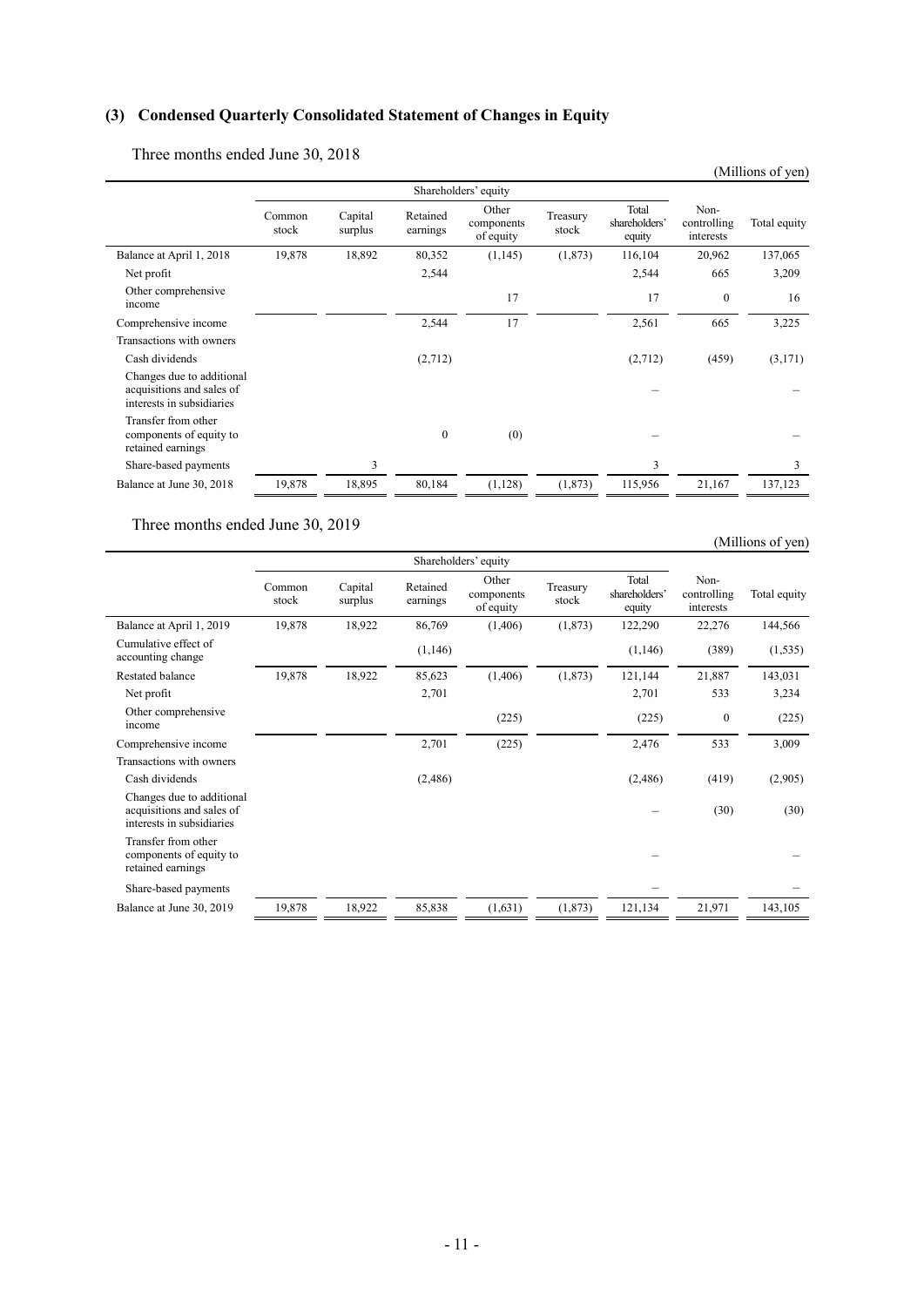## **(3) Condensed Quarterly Consolidated Statement of Changes in Equity**

Three months ended June 30, 2018

|                                                                                     |                 |                    |                      |                                  |                   |                                  |                                  | (Millions of yen) |
|-------------------------------------------------------------------------------------|-----------------|--------------------|----------------------|----------------------------------|-------------------|----------------------------------|----------------------------------|-------------------|
|                                                                                     |                 |                    |                      |                                  |                   |                                  |                                  |                   |
|                                                                                     | Common<br>stock | Capital<br>surplus | Retained<br>earnings | Other<br>components<br>of equity | Treasury<br>stock | Total<br>shareholders'<br>equity | Non-<br>controlling<br>interests | Total equity      |
| Balance at April 1, 2018                                                            | 19,878          | 18,892             | 80,352               | (1,145)                          | (1,873)           | 116,104                          | 20,962                           | 137,065           |
| Net profit                                                                          |                 |                    | 2,544                |                                  |                   | 2,544                            | 665                              | 3,209             |
| Other comprehensive<br>income                                                       |                 |                    |                      | 17                               |                   | 17                               | $\mathbf{0}$                     | 16                |
| Comprehensive income                                                                |                 |                    | 2,544                | 17                               |                   | 2,561                            | 665                              | 3,225             |
| Transactions with owners                                                            |                 |                    |                      |                                  |                   |                                  |                                  |                   |
| Cash dividends                                                                      |                 |                    | (2,712)              |                                  |                   | (2,712)                          | (459)                            | (3,171)           |
| Changes due to additional<br>acquisitions and sales of<br>interests in subsidiaries |                 |                    |                      |                                  |                   |                                  |                                  |                   |
| Transfer from other<br>components of equity to<br>retained earnings                 |                 |                    | $\boldsymbol{0}$     | (0)                              |                   |                                  |                                  |                   |
| Share-based payments                                                                |                 | 3                  |                      |                                  |                   | 3                                |                                  | 3                 |
| Balance at June 30, 2018                                                            | 19,878          | 18,895             | 80,184               | (1, 128)                         | (1, 873)          | 115,956                          | 21,167                           | 137,123           |

Three months ended June 30, 2019

(Millions of yen)

|                                                                                     | Shareholders' equity |                    |                      |                                  |                   |                                  |                                  |              |
|-------------------------------------------------------------------------------------|----------------------|--------------------|----------------------|----------------------------------|-------------------|----------------------------------|----------------------------------|--------------|
|                                                                                     | Common<br>stock      | Capital<br>surplus | Retained<br>earnings | Other<br>components<br>of equity | Treasury<br>stock | Total<br>shareholders'<br>equity | Non-<br>controlling<br>interests | Total equity |
| Balance at April 1, 2019                                                            | 19,878               | 18,922             | 86,769               | (1,406)                          | (1,873)           | 122,290                          | 22,276                           | 144,566      |
| Cumulative effect of<br>accounting change                                           |                      |                    | (1,146)              |                                  |                   | (1,146)                          | (389)                            | (1, 535)     |
| Restated balance                                                                    | 19,878               | 18,922             | 85,623               | (1,406)                          | (1, 873)          | 121,144                          | 21,887                           | 143,031      |
| Net profit                                                                          |                      |                    | 2,701                |                                  |                   | 2,701                            | 533                              | 3,234        |
| Other comprehensive<br>income                                                       |                      |                    |                      | (225)                            |                   | (225)                            | $\boldsymbol{0}$                 | (225)        |
| Comprehensive income                                                                |                      |                    | 2,701                | (225)                            |                   | 2,476                            | 533                              | 3,009        |
| Transactions with owners                                                            |                      |                    |                      |                                  |                   |                                  |                                  |              |
| Cash dividends                                                                      |                      |                    | (2,486)              |                                  |                   | (2,486)                          | (419)                            | (2,905)      |
| Changes due to additional<br>acquisitions and sales of<br>interests in subsidiaries |                      |                    |                      |                                  |                   |                                  | (30)                             | (30)         |
| Transfer from other<br>components of equity to<br>retained earnings                 |                      |                    |                      |                                  |                   |                                  |                                  |              |
| Share-based payments                                                                |                      |                    |                      |                                  |                   |                                  |                                  |              |
| Balance at June 30, 2019                                                            | 19,878               | 18,922             | 85,838               | (1,631)                          | (1,873)           | 121,134                          | 21,971                           | 143,105      |
|                                                                                     |                      |                    |                      |                                  |                   |                                  |                                  |              |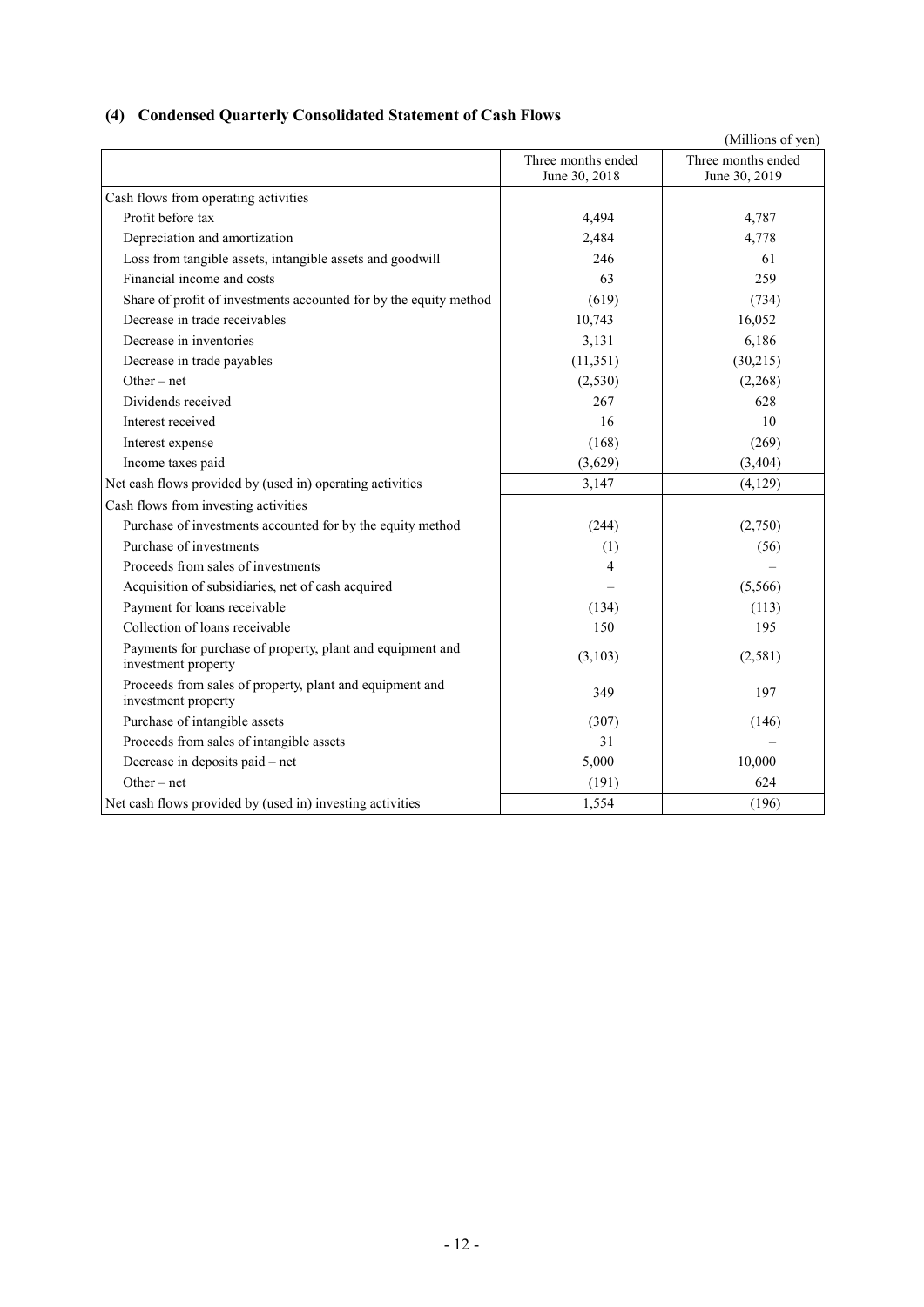## **(4) Condensed Quarterly Consolidated Statement of Cash Flows**

|                                                                                   |                                     | (Millions of yen)                   |
|-----------------------------------------------------------------------------------|-------------------------------------|-------------------------------------|
|                                                                                   | Three months ended<br>June 30, 2018 | Three months ended<br>June 30, 2019 |
| Cash flows from operating activities                                              |                                     |                                     |
| Profit before tax                                                                 | 4,494                               | 4,787                               |
| Depreciation and amortization                                                     | 2,484                               | 4,778                               |
| Loss from tangible assets, intangible assets and goodwill                         | 246                                 | 61                                  |
| Financial income and costs                                                        | 63                                  | 259                                 |
| Share of profit of investments accounted for by the equity method                 | (619)                               | (734)                               |
| Decrease in trade receivables                                                     | 10,743                              | 16,052                              |
| Decrease in inventories                                                           | 3,131                               | 6,186                               |
| Decrease in trade payables                                                        | (11, 351)                           | (30,215)                            |
| Other $-$ net                                                                     | (2,530)                             | (2,268)                             |
| Dividends received                                                                | 267                                 | 628                                 |
| Interest received                                                                 | 16                                  | 10                                  |
| Interest expense                                                                  | (168)                               | (269)                               |
| Income taxes paid                                                                 | (3,629)                             | (3,404)                             |
| Net cash flows provided by (used in) operating activities                         | 3,147                               | (4,129)                             |
| Cash flows from investing activities                                              |                                     |                                     |
| Purchase of investments accounted for by the equity method                        | (244)                               | (2,750)                             |
| Purchase of investments                                                           | (1)                                 | (56)                                |
| Proceeds from sales of investments                                                | 4                                   |                                     |
| Acquisition of subsidiaries, net of cash acquired                                 |                                     | (5,566)                             |
| Payment for loans receivable                                                      | (134)                               | (113)                               |
| Collection of loans receivable                                                    | 150                                 | 195                                 |
| Payments for purchase of property, plant and equipment and<br>investment property | (3,103)                             | (2,581)                             |
| Proceeds from sales of property, plant and equipment and<br>investment property   | 349                                 | 197                                 |
| Purchase of intangible assets                                                     | (307)                               | (146)                               |
| Proceeds from sales of intangible assets                                          | 31                                  |                                     |
| Decrease in deposits paid – net                                                   | 5,000                               | 10,000                              |
| Other $-$ net                                                                     | (191)                               | 624                                 |
| Net cash flows provided by (used in) investing activities                         | 1,554                               | (196)                               |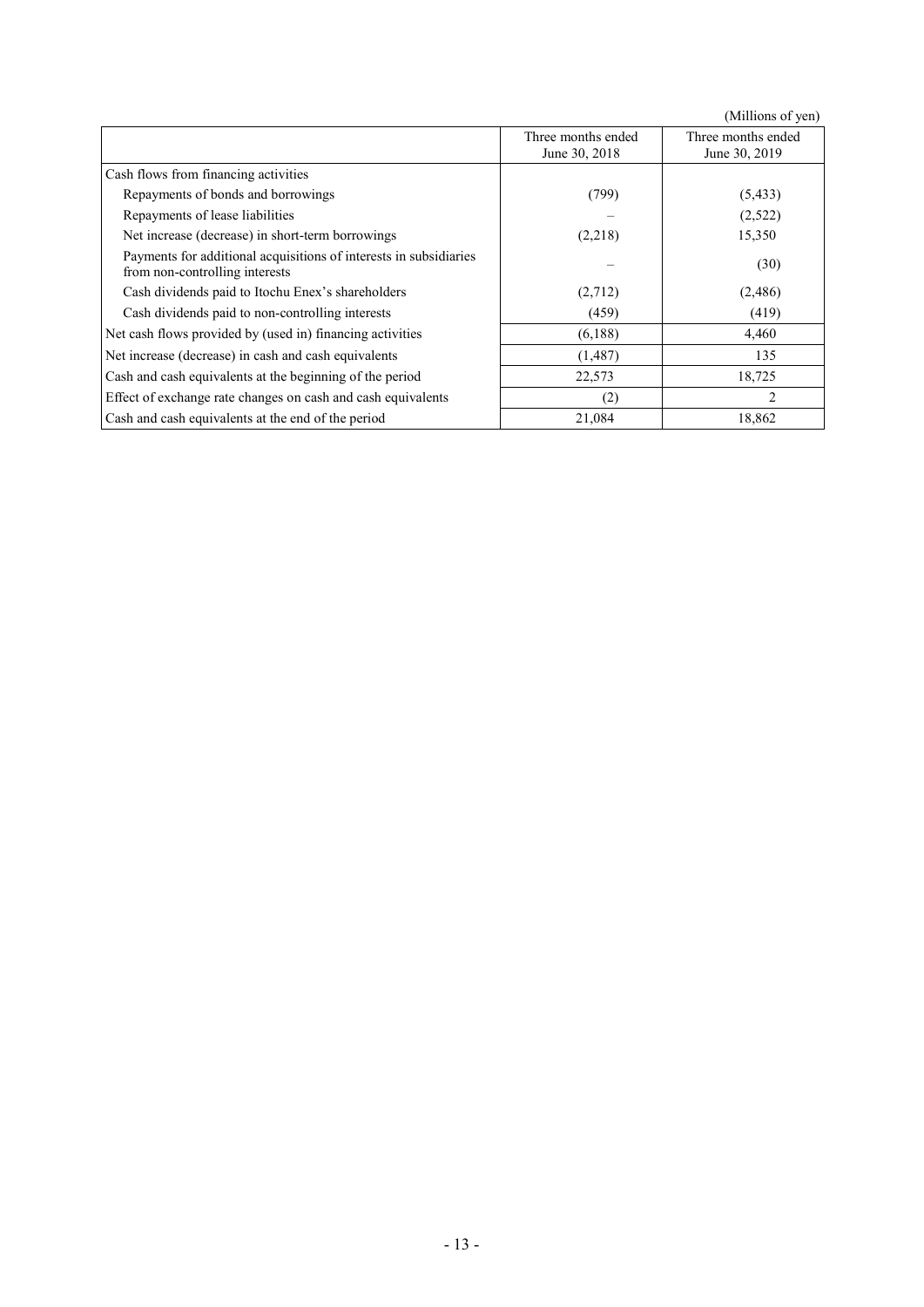|                                                                                                     |                                     | (Millions of yen)                   |
|-----------------------------------------------------------------------------------------------------|-------------------------------------|-------------------------------------|
|                                                                                                     | Three months ended<br>June 30, 2018 | Three months ended<br>June 30, 2019 |
| Cash flows from financing activities                                                                |                                     |                                     |
| Repayments of bonds and borrowings                                                                  | (799)                               | (5, 433)                            |
| Repayments of lease liabilities                                                                     |                                     | (2,522)                             |
| Net increase (decrease) in short-term borrowings                                                    | (2,218)                             | 15,350                              |
| Payments for additional acquisitions of interests in subsidiaries<br>from non-controlling interests |                                     | (30)                                |
| Cash dividends paid to Itochu Enex's shareholders                                                   | (2,712)                             | (2,486)                             |
| Cash dividends paid to non-controlling interests                                                    | (459)                               | (419)                               |
| Net cash flows provided by (used in) financing activities                                           | (6,188)                             | 4,460                               |
| Net increase (decrease) in cash and cash equivalents                                                | (1,487)                             | 135                                 |
| Cash and cash equivalents at the beginning of the period                                            | 22,573                              | 18,725                              |
| Effect of exchange rate changes on cash and cash equivalents                                        | (2)                                 | $\overline{c}$                      |
| Cash and cash equivalents at the end of the period                                                  | 21,084                              | 18,862                              |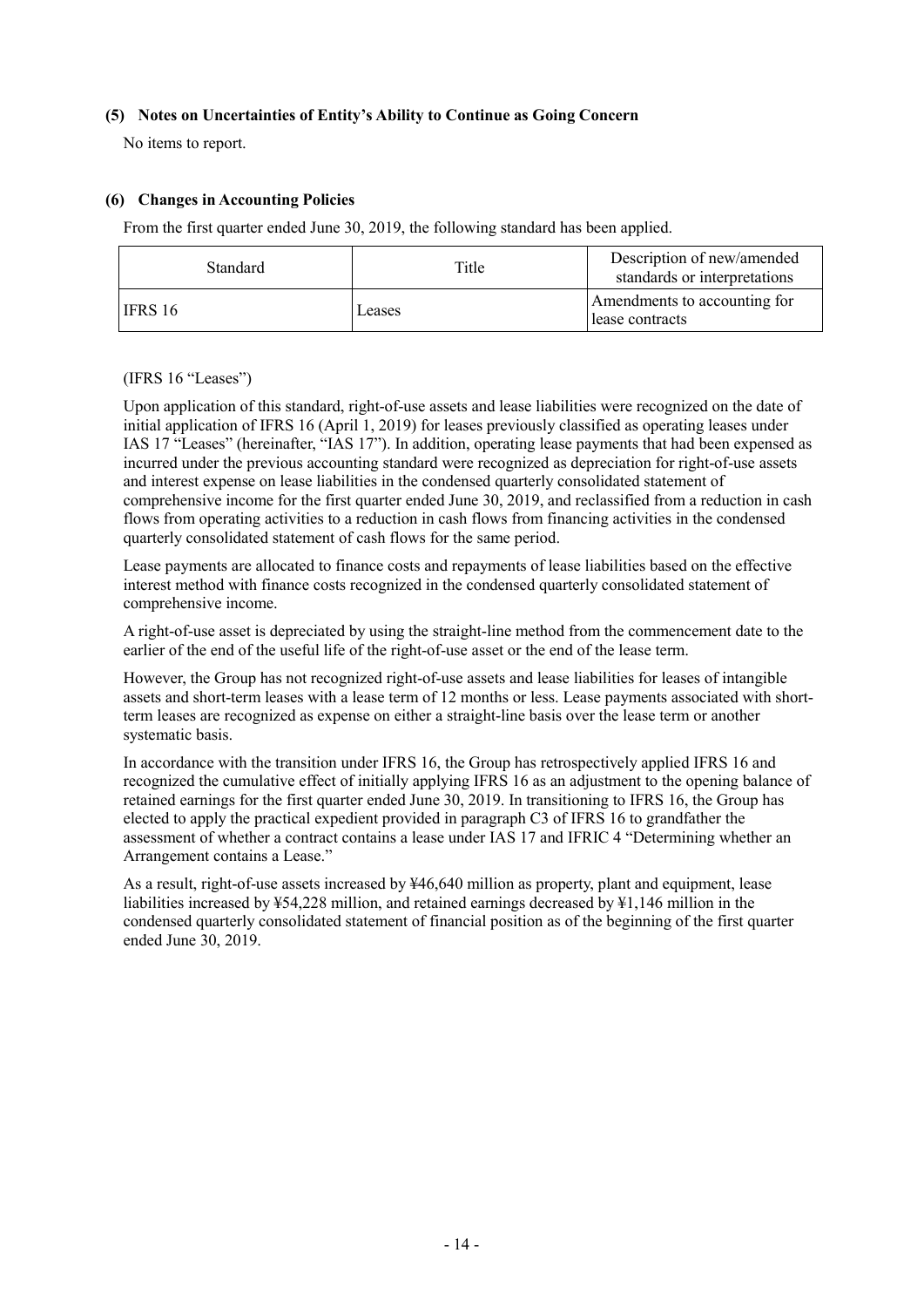### **(5) Notes on Uncertainties of Entity's Ability to Continue as Going Concern**

No items to report.

## **(6) Changes in Accounting Policies**

From the first quarter ended June 30, 2019, the following standard has been applied.

| <b>Standard</b> | Title  | Description of new/amended<br>standards or interpretations |
|-----------------|--------|------------------------------------------------------------|
| IFRS 16         | Leases | Amendments to accounting for<br>lease contracts            |

#### (IFRS 16 "Leases")

Upon application of this standard, right-of-use assets and lease liabilities were recognized on the date of initial application of IFRS 16 (April 1, 2019) for leases previously classified as operating leases under IAS 17 "Leases" (hereinafter, "IAS 17"). In addition, operating lease payments that had been expensed as incurred under the previous accounting standard were recognized as depreciation for right-of-use assets and interest expense on lease liabilities in the condensed quarterly consolidated statement of comprehensive income for the first quarter ended June 30, 2019, and reclassified from a reduction in cash flows from operating activities to a reduction in cash flows from financing activities in the condensed quarterly consolidated statement of cash flows for the same period.

Lease payments are allocated to finance costs and repayments of lease liabilities based on the effective interest method with finance costs recognized in the condensed quarterly consolidated statement of comprehensive income.

A right-of-use asset is depreciated by using the straight-line method from the commencement date to the earlier of the end of the useful life of the right-of-use asset or the end of the lease term.

However, the Group has not recognized right-of-use assets and lease liabilities for leases of intangible assets and short-term leases with a lease term of 12 months or less. Lease payments associated with shortterm leases are recognized as expense on either a straight-line basis over the lease term or another systematic basis.

In accordance with the transition under IFRS 16, the Group has retrospectively applied IFRS 16 and recognized the cumulative effect of initially applying IFRS 16 as an adjustment to the opening balance of retained earnings for the first quarter ended June 30, 2019. In transitioning to IFRS 16, the Group has elected to apply the practical expedient provided in paragraph C3 of IFRS 16 to grandfather the assessment of whether a contract contains a lease under IAS 17 and IFRIC 4 "Determining whether an Arrangement contains a Lease."

As a result, right-of-use assets increased by ¥46,640 million as property, plant and equipment, lease liabilities increased by ¥54,228 million, and retained earnings decreased by ¥1,146 million in the condensed quarterly consolidated statement of financial position as of the beginning of the first quarter ended June 30, 2019.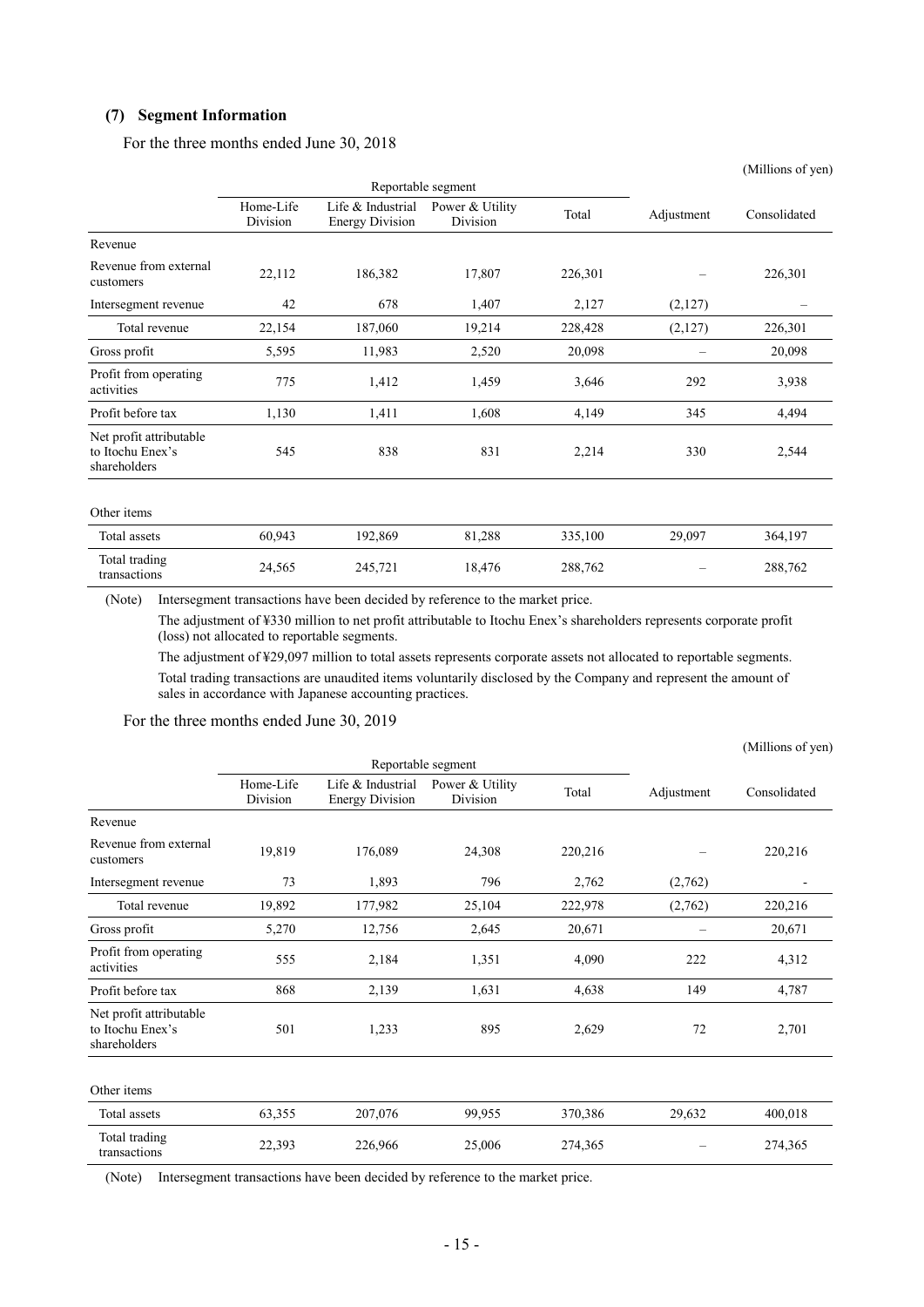#### **(7) Segment Information**

For the three months ended June 30, 2018

|                                                             |                       |                                             |                             |         |            | (Millions of yen) |
|-------------------------------------------------------------|-----------------------|---------------------------------------------|-----------------------------|---------|------------|-------------------|
|                                                             |                       | Reportable segment                          |                             |         |            |                   |
|                                                             | Home-Life<br>Division | Life & Industrial<br><b>Energy Division</b> | Power & Utility<br>Division | Total   | Adjustment | Consolidated      |
| Revenue                                                     |                       |                                             |                             |         |            |                   |
| Revenue from external<br>customers                          | 22,112                | 186,382                                     | 17,807                      | 226,301 |            | 226,301           |
| Intersegment revenue                                        | 42                    | 678                                         | 1,407                       | 2,127   | (2,127)    |                   |
| Total revenue                                               | 22,154                | 187,060                                     | 19,214                      | 228,428 | (2,127)    | 226,301           |
| Gross profit                                                | 5,595                 | 11,983                                      | 2,520                       | 20,098  |            | 20,098            |
| Profit from operating<br>activities                         | 775                   | 1,412                                       | 1,459                       | 3,646   | 292        | 3,938             |
| Profit before tax                                           | 1,130                 | 1,411                                       | 1,608                       | 4,149   | 345        | 4,494             |
| Net profit attributable<br>to Itochu Enex's<br>shareholders | 545                   | 838                                         | 831                         | 2,214   | 330        | 2,544             |
| Other items                                                 |                       |                                             |                             |         |            |                   |
| Total assets                                                | 60,943                | 192,869                                     | 81,288                      | 335,100 | 29,097     | 364,197           |
| Total trading<br>transactions                               | 24,565                | 245,721                                     | 18,476                      | 288,762 |            | 288,762           |

(Note) Intersegment transactions have been decided by reference to the market price.

The adjustment of ¥330 million to net profit attributable to Itochu Enex's shareholders represents corporate profit (loss) not allocated to reportable segments.

The adjustment of ¥29,097 million to total assets represents corporate assets not allocated to reportable segments. Total trading transactions are unaudited items voluntarily disclosed by the Company and represent the amount of sales in accordance with Japanese accounting practices.

#### For the three months ended June 30, 2019

|                                                             |                       |                                             | (Millions of yen)           |         |                 |              |
|-------------------------------------------------------------|-----------------------|---------------------------------------------|-----------------------------|---------|-----------------|--------------|
|                                                             |                       | Reportable segment                          |                             |         |                 |              |
|                                                             | Home-Life<br>Division | Life & Industrial<br><b>Energy Division</b> | Power & Utility<br>Division | Total   | Adjustment      | Consolidated |
| Revenue                                                     |                       |                                             |                             |         |                 |              |
| Revenue from external<br>customers                          | 19,819                | 176,089                                     | 24,308                      | 220,216 |                 | 220,216      |
| Intersegment revenue                                        | 73                    | 1,893                                       | 796                         | 2,762   | (2,762)         |              |
| Total revenue                                               | 19,892                | 177,982                                     | 25,104                      | 222,978 | (2,762)         | 220,216      |
| Gross profit                                                | 5,270                 | 12,756                                      | 2,645                       | 20,671  | $\qquad \qquad$ | 20,671       |
| Profit from operating<br>activities                         | 555                   | 2,184                                       | 1,351                       | 4,090   | 222             | 4,312        |
| Profit before tax                                           | 868                   | 2,139                                       | 1,631                       | 4,638   | 149             | 4,787        |
| Net profit attributable<br>to Itochu Enex's<br>shareholders | 501                   | 1,233                                       | 895                         | 2,629   | 72              | 2,701        |
| Other items                                                 |                       |                                             |                             |         |                 |              |
| Total assets                                                | 63,355                | 207,076                                     | 99,955                      | 370,386 | 29,632          | 400,018      |
| Total trading<br>transactions                               | 22,393                | 226,966                                     | 25,006                      | 274,365 |                 | 274,365      |

(Note) Intersegment transactions have been decided by reference to the market price.